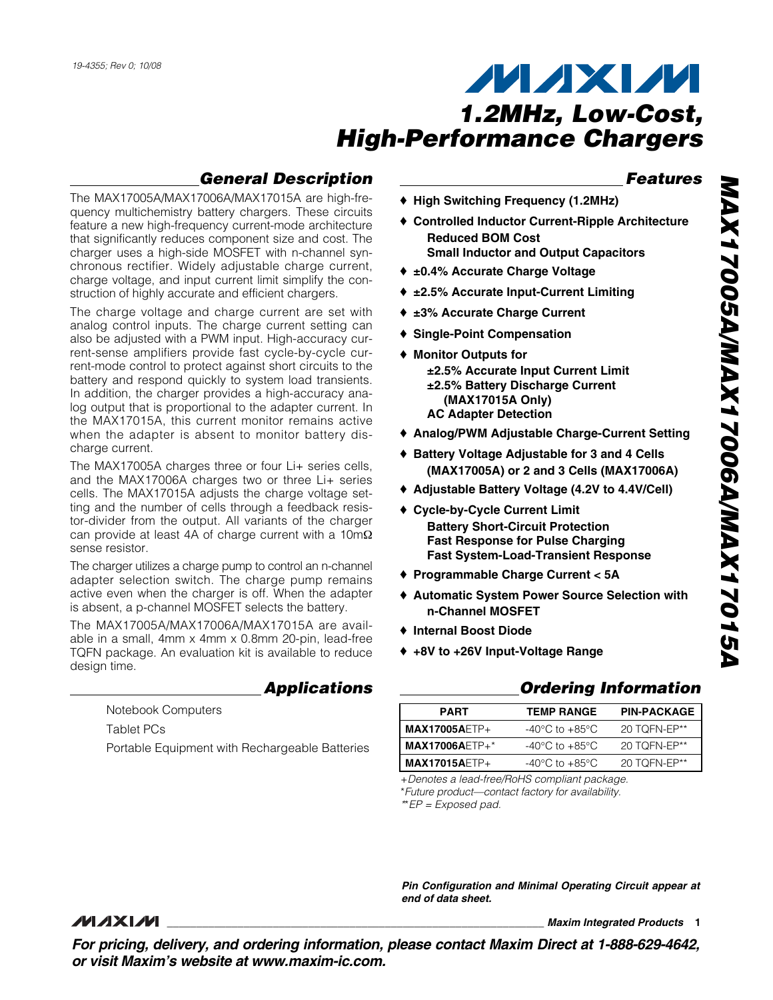## **General Description**

The MAX17005A/MAX17006A/MAX17015A are high-frequency multichemistry battery chargers. These circuits feature a new high-frequency current-mode architecture that significantly reduces component size and cost. The charger uses a high-side MOSFET with n-channel synchronous rectifier. Widely adjustable charge current, charge voltage, and input current limit simplify the construction of highly accurate and efficient chargers.

The charge voltage and charge current are set with analog control inputs. The charge current setting can also be adjusted with a PWM input. High-accuracy current-sense amplifiers provide fast cycle-by-cycle current-mode control to protect against short circuits to the battery and respond quickly to system load transients. In addition, the charger provides a high-accuracy analog output that is proportional to the adapter current. In the MAX17015A, this current monitor remains active when the adapter is absent to monitor battery discharge current.

The MAX17005A charges three or four Li+ series cells, and the MAX17006A charges two or three Li+ series cells. The MAX17015A adjusts the charge voltage setting and the number of cells through a feedback resistor-divider from the output. All variants of the charger can provide at least 4A of charge current with a 10mΩ sense resistor.

The charger utilizes a charge pump to control an n-channel adapter selection switch. The charge pump remains active even when the charger is off. When the adapter is absent, a p-channel MOSFET selects the battery.

The MAX17005A/MAX17006A/MAX17015A are available in a small, 4mm x 4mm x 0.8mm 20-pin, lead-free TQFN package. An evaluation kit is available to reduce design time.

### **Applications**

Notebook Computers Tablet PCs Portable Equipment with Rechargeable Batteries

### ♦ **High Switching Frequency (1.2MHz)**

- ♦ **Controlled Inductor Current-Ripple Architecture Reduced BOM Cost Small Inductor and Output Capacitors**
- ♦ **±0.4% Accurate Charge Voltage**
- ♦ **±2.5% Accurate Input-Current Limiting**
- ♦ **±3% Accurate Charge Current**
- ♦ **Single-Point Compensation**
- ♦ **Monitor Outputs for ±2.5% Accurate Input Current Limit ±2.5% Battery Discharge Current (MAX17015A Only) AC Adapter Detection**
- ♦ **Analog/PWM Adjustable Charge-Current Setting**
- ♦ **Battery Voltage Adjustable for 3 and 4 Cells (MAX17005A) or 2 and 3 Cells (MAX17006A)**
- ♦ **Adjustable Battery Voltage (4.2V to 4.4V/Cell)**
- ♦ **Cycle-by-Cycle Current Limit Battery Short-Circuit Protection Fast Response for Pulse Charging Fast System-Load-Transient Response**
- ♦ **Programmable Charge Current < 5A**
- ♦ **Automatic System Power Source Selection with n-Channel MOSFET**
- ♦ **Internal Boost Diode**
- ♦ **+8V to +26V Input-Voltage Range**

### **Ordering Information**

| <b>PART</b>                           | <b>TEMP RANGE</b>                  | <b>PIN-PACKAGE</b> |
|---------------------------------------|------------------------------------|--------------------|
| I MAX17005AETP+                       | -40°C to +85°C                     | 20 TOFN-EP**       |
| $\mathsf{IMAX17006A} \mathsf{ETP+^*}$ | $-40^{\circ}$ C to $+85^{\circ}$ C | 20 TOFN-EP**       |
| $MAX17015AETP+$                       | -40°C to +85°C                     | 20 TOFN-EP**       |

+Denotes a lead-free/RoHS compliant package.

\*Future product—contact factory for availability.

\*\*EP = Exposed pad.

**Pin Configuration and Minimal Operating Circuit appear at end of data sheet.**

### *MAXIM*

**\_\_\_\_\_\_\_\_\_\_\_\_\_\_\_\_\_\_\_\_\_\_\_\_\_\_\_\_\_\_\_\_\_\_\_\_\_\_\_\_\_\_\_\_\_\_\_\_\_\_\_\_\_\_\_\_\_\_\_\_\_\_\_\_ Maxim Integrated Products 1**

**For pricing, delivery, and ordering information, please contact Maxim Direct at 1-888-629-4642, or visit Maxim's website at www.maxim-ic.com.**

**Features**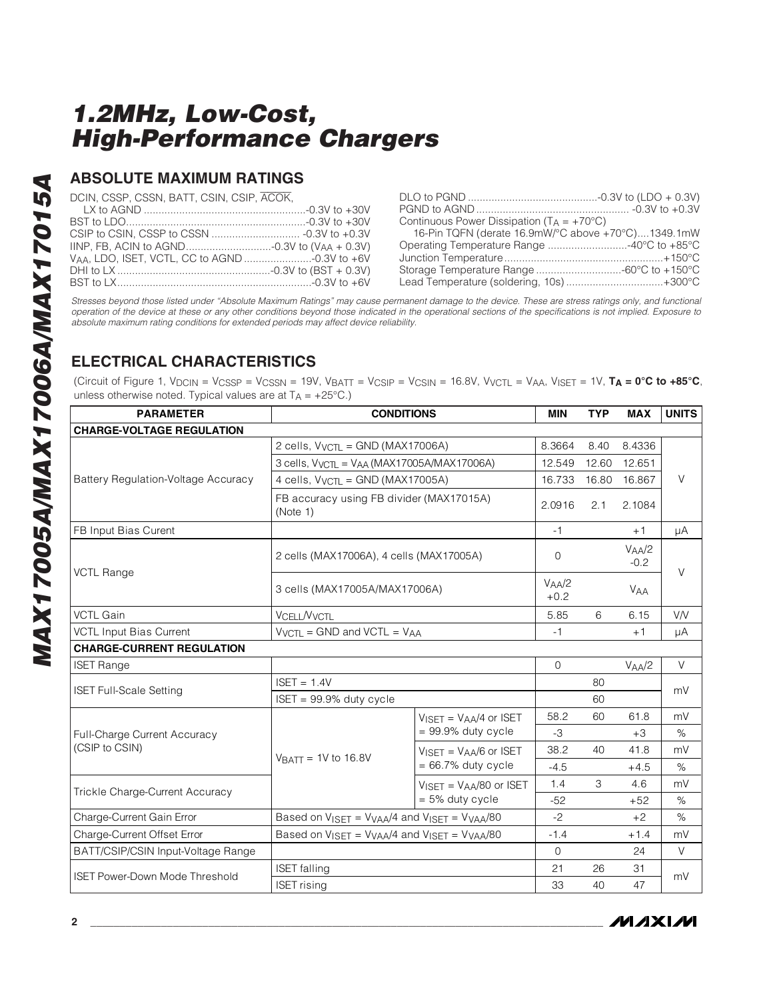### **ABSOLUTE MAXIMUM RATINGS**

DCIN, CSSP, CSSN, BATT, CSIN, CSIP, ACOK, LX to AGND .......................................................-0.3V to +30V

| Continuous Power Dissipation $(T_A = +70^{\circ}C)$ |  |
|-----------------------------------------------------|--|
| 16-Pin TQFN (derate 16.9mW/°C above +70°C)1349.1mW  |  |
| Operating Temperature Range 40°C to +85°C           |  |
|                                                     |  |
|                                                     |  |
| Lead Temperature (soldering, 10s) +300°C            |  |

Stresses beyond those listed under "Absolute Maximum Ratings" may cause permanent damage to the device. These are stress ratings only, and functional operation of the device at these or any other conditions beyond those indicated in the operational sections of the specifications is not implied. Exposure to absolute maximum rating conditions for extended periods may affect device reliability.

## **ELECTRICAL CHARACTERISTICS**

(Circuit of Figure 1, VDCIN = VCSSP = VCSSN = 19V, VBATT = VCSIP = VCSIN = 16.8V, VVCTL = VAA, VISET = 1V, **TA = 0°C to +85°C**, unless otherwise noted. Typical values are at  $T_A = +25^{\circ}C$ .)

| <b>PARAMETER</b>                           | <b>CONDITIONS</b>                                                                       |                                             |                      | <b>TYP</b> | <b>MAX</b>                   | <b>UNITS</b> |
|--------------------------------------------|-----------------------------------------------------------------------------------------|---------------------------------------------|----------------------|------------|------------------------------|--------------|
| <b>CHARGE-VOLTAGE REGULATION</b>           |                                                                                         |                                             |                      |            |                              |              |
|                                            | 2 cells, $V_{VCTL} = GND (MAX17006A)$                                                   |                                             | 8.3664               | 8.40       | 8.4336                       |              |
|                                            | 3 cells, V <sub>VCTL</sub> = V <sub>AA</sub> (MAX17005A/MAX17006A)                      |                                             |                      | 12.60      | 12.651                       |              |
| <b>Battery Regulation-Voltage Accuracy</b> | 4 cells, $V_{VCTI} = GND (MAX17005A)$                                                   |                                             |                      | 16.80      | 16.867                       | $\vee$       |
|                                            | FB accuracy using FB divider (MAX17015A)<br>(Note 1)                                    |                                             | 2.0916               | 2.1        | 2.1084                       |              |
| FB Input Bias Curent                       |                                                                                         |                                             | $-1$                 |            | $+1$                         | μA           |
|                                            | 2 cells (MAX17006A), 4 cells (MAX17005A)                                                |                                             | $\Omega$             |            | V <sub>AA</sub> /2<br>$-0.2$ |              |
| <b>VCTL Range</b>                          | 3 cells (MAX17005A/MAX17006A)                                                           |                                             | $V_{AA}/2$<br>$+0.2$ |            | <b>VAA</b>                   | $\vee$       |
| <b>VCTL Gain</b>                           | VCELL NVCTL                                                                             |                                             | 5.85                 | 6          | 6.15                         | <b>VN</b>    |
| <b>VCTL Input Bias Current</b>             | $V_{VCTL} =$ GND and VCTL = $V_{AA}$                                                    |                                             | $-1$                 |            | $+1$                         | μA           |
| <b>CHARGE-CURRENT REGULATION</b>           |                                                                                         |                                             |                      |            |                              |              |
| <b>ISET Range</b>                          |                                                                                         |                                             | $\mathbf{O}$         |            | V <sub>AA</sub> /2           | $\vee$       |
|                                            | $ISET = 1.4V$                                                                           |                                             |                      | 80         |                              | mV           |
| <b>ISET Full-Scale Setting</b>             | $ISET = 99.9%$ duty cycle                                                               |                                             |                      | 60         |                              |              |
|                                            |                                                                                         | $V_{\text{ISFT}} = V_{\text{AA}}/4$ or ISET | 58.2                 | 60         | 61.8                         | mV           |
| Full-Charge Current Accuracy               |                                                                                         | $= 99.9\%$ duty cycle                       | $-3$                 |            | $+3$                         | $\%$         |
| (CSIP to CSIN)                             |                                                                                         | $V_{\text{ISFT}} = V_{\text{AA}}/6$ or ISET | 38.2                 | 40         | 41.8                         | mV           |
|                                            | $VBATT = 1V$ to 16.8V                                                                   | $= 66.7\%$ duty cycle                       | $-4.5$               |            | $+4.5$                       | $\%$         |
|                                            |                                                                                         | $VISET = VAA/80$ or ISET                    | 1.4                  | 3          | 4.6                          | mV           |
| Trickle Charge-Current Accuracy            |                                                                                         | $= 5\%$ duty cycle                          | $-52$                |            | $+52$                        | $\%$         |
| Charge-Current Gain Error                  | Based on $V_{\text{ISET}} = V_{\text{VAA}}/4$ and $V_{\text{ISET}} = V_{\text{VAA}}/80$ |                                             | $-2$                 |            | $+2$                         | $\%$         |
| Charge-Current Offset Error                | Based on $V_{\text{ISET}} = V_{\text{VAA}}/4$ and $V_{\text{ISET}} = V_{\text{VAA}}/80$ |                                             | $-1.4$               |            | $+1.4$                       | mV           |
| BATT/CSIP/CSIN Input-Voltage Range         |                                                                                         |                                             | $\Omega$             |            | 24                           | V            |
| <b>ISET Power-Down Mode Threshold</b>      | <b>ISET</b> falling                                                                     |                                             | 21                   | 26         | 31                           | mV           |
|                                            | <b>ISET</b> rising                                                                      |                                             | 33                   | 40         | 47                           |              |

**MAXIM**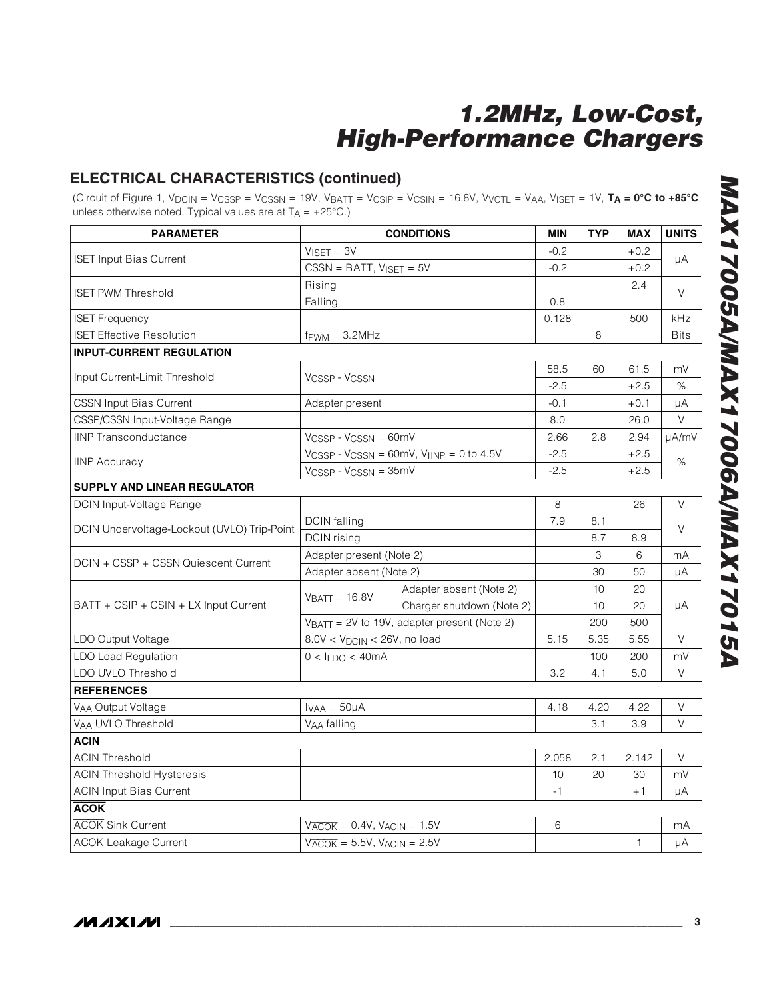## **ELECTRICAL CHARACTERISTICS (continued)**

(Circuit of Figure 1, VDCIN = VCSSP = VCSSN = 19V, VBATT = VCSIP = VCSIN = 16.8V, VVCTL = VAA, VISET = 1V, **TA = 0°C to +85°C**, unless otherwise noted. Typical values are at  $T_A = +25^{\circ}C$ .)

| <b>PARAMETER</b>                            |                                                            | <b>CONDITIONS</b>                                                           | <b>MIN</b> | <b>TYP</b> | <b>MAX</b>   | <b>UNITS</b> |
|---------------------------------------------|------------------------------------------------------------|-----------------------------------------------------------------------------|------------|------------|--------------|--------------|
|                                             | $VISET = 3V$                                               |                                                                             | $-0.2$     |            | $+0.2$       |              |
| <b>ISET Input Bias Current</b>              | $CSSN = BATT, VISET = 5V$                                  |                                                                             | $-0.2$     |            | $+0.2$       | μA           |
|                                             | Rising                                                     |                                                                             |            |            | 2.4          | V            |
| <b>ISET PWM Threshold</b>                   | Falling                                                    |                                                                             | 0.8        |            |              |              |
| <b>ISET Frequency</b>                       |                                                            |                                                                             | 0.128      |            | 500          | kHz          |
| <b>ISET Effective Resolution</b>            | $f$ PWM = $3.2$ MHz                                        |                                                                             |            | 8          |              | <b>Bits</b>  |
| <b>INPUT-CURRENT REGULATION</b>             |                                                            |                                                                             |            |            |              |              |
| Input Current-Limit Threshold               | <b>VCSSP - VCSSN</b>                                       |                                                                             | 58.5       | 60         | 61.5         | mV           |
|                                             |                                                            |                                                                             | $-2.5$     |            | $+2.5$       | %            |
| <b>CSSN Input Bias Current</b>              | Adapter present                                            |                                                                             | $-0.1$     |            | $+0.1$       | μA           |
| CSSP/CSSN Input-Voltage Range               |                                                            |                                                                             | 8.0        |            | 26.0         | V            |
| <b>IINP Transconductance</b>                | $VCSSP - VCSSN = 60mV$                                     |                                                                             | 2.66       | 2.8        | 2.94         | µA/mV        |
| <b>IINP Accuracy</b>                        |                                                            | $V_{\text{CSSP}}$ - $V_{\text{CSSN}}$ = 60mV, $V_{\text{IINP}}$ = 0 to 4.5V | $-2.5$     |            | $+2.5$       | $\%$         |
|                                             | $VCSSP - VCSSN = 35mV$                                     |                                                                             | $-2.5$     |            | $+2.5$       |              |
| <b>SUPPLY AND LINEAR REGULATOR</b>          |                                                            |                                                                             |            |            |              |              |
| DCIN Input-Voltage Range                    |                                                            |                                                                             | 8          |            | 26           | V            |
| DCIN Undervoltage-Lockout (UVLO) Trip-Point | <b>DCIN</b> falling                                        |                                                                             | 7.9        | 8.1        |              | V            |
|                                             | DCIN rising                                                |                                                                             |            | 8.7        | 8.9          |              |
| DCIN + CSSP + CSSN Quiescent Current        | Adapter present (Note 2)                                   |                                                                             |            | 3          | 6            | mA           |
|                                             | Adapter absent (Note 2)                                    |                                                                             |            | 30         | 50           | μA           |
|                                             | $VBATT = 16.8V$                                            | Adapter absent (Note 2)                                                     |            | 10         | 20           |              |
| BATT + CSIP + CSIN + LX Input Current       |                                                            | Charger shutdown (Note 2)                                                   |            | 10         | 20           | μA           |
|                                             | $VBATT = 2V$ to 19V, adapter present (Note 2)              |                                                                             |            | 200        | 500          |              |
| LDO Output Voltage                          | $8.0V < V_{DCIN} < 26V$ , no load                          |                                                                             | 5.15       | 5.35       | 5.55         | $\vee$       |
| <b>LDO Load Regulation</b>                  | $0 < I_{LDO} < 40mA$                                       |                                                                             |            | 100        | 200          | mV           |
| LDO UVLO Threshold                          |                                                            |                                                                             | 3.2        | 4.1        | 5.0          | V            |
| <b>REFERENCES</b>                           |                                                            |                                                                             |            |            |              |              |
| VAA Output Voltage                          | $I_{VAA} = 50\mu A$                                        |                                                                             | 4.18       | 4.20       | 4.22         | V            |
| VAA UVLO Threshold                          | V <sub>AA</sub> falling                                    |                                                                             |            | 3.1        | 3.9          | V            |
| <b>ACIN</b>                                 |                                                            |                                                                             |            |            |              |              |
| <b>ACIN Threshold</b>                       |                                                            |                                                                             | 2.058      | 2.1        | 2.142        | V            |
| <b>ACIN Threshold Hysteresis</b>            |                                                            |                                                                             | 10         | 20         | 30           | mV           |
| <b>ACIN Input Bias Current</b>              |                                                            |                                                                             | $-1$       |            | $+1$         | μA           |
| <b>ACOK</b>                                 |                                                            |                                                                             |            |            |              |              |
| <b>ACOK</b> Sink Current                    | $V\overline{ACOK}$ = 0.4V, $VACIN = 1.5V$                  |                                                                             | 6          |            |              | mA           |
| <b>ACOK</b> Leakage Current                 | $V_{\overline{ACOK}}$ = 5.5V, $V_{\overline{ACIN}}$ = 2.5V |                                                                             |            |            | $\mathbf{1}$ | μA           |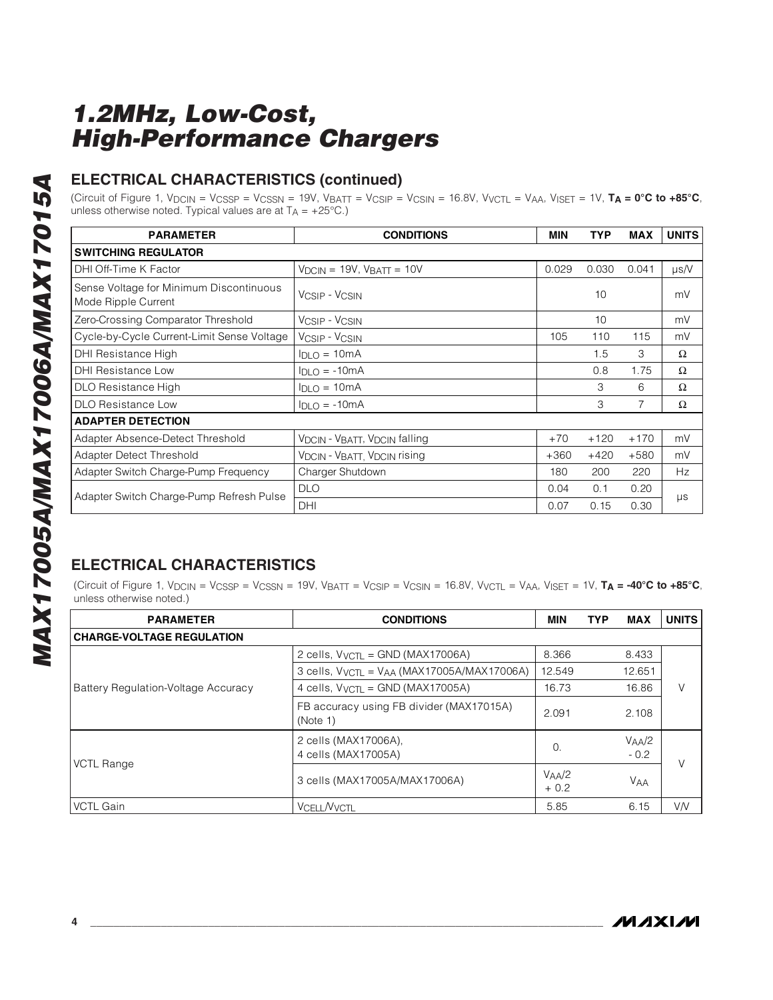## **ELECTRICAL CHARACTERISTICS (continued)**

(Circuit of Figure 1, VDCIN = VCSSP = VCSSN = 19V, VBATT = VCSIP = VCSIN = 16.8V, VVCTL = VAA, VISET = 1V, **TA = 0°C to +85°C**, unless otherwise noted. Typical values are at  $T_A = +25^{\circ}C$ .)

| <b>PARAMETER</b>                                               | <b>CONDITIONS</b>                                                 | MIN    | <b>TYP</b> | <b>MAX</b> | <b>UNITS</b> |
|----------------------------------------------------------------|-------------------------------------------------------------------|--------|------------|------------|--------------|
| <b>SWITCHING REGULATOR</b>                                     |                                                                   |        |            |            |              |
| DHI Off-Time K Factor                                          | $V_{DCIN}$ = 19V, $V_{BAT}$ = 10V                                 | 0.029  | 0.030      | 0.041      | $\mu$ s/V    |
| Sense Voltage for Minimum Discontinuous<br>Mode Ripple Current | VCSIP - VCSIN                                                     |        | 10         |            | mV           |
| Zero-Crossing Comparator Threshold                             | VCSIP - VCSIN                                                     |        | 10         |            | mV           |
| Cycle-by-Cycle Current-Limit Sense Voltage                     | V <sub>CSIP</sub> - V <sub>CSIN</sub>                             | 105    | 110        | 115        | mV           |
| DHI Resistance High                                            | $I_{DLO} = 10mA$                                                  |        | 1.5        | 3          | $\Omega$     |
| DHI Resistance Low                                             | $I_{DLO} = -10mA$                                                 |        | 0.8        | 1.75       | Ω            |
| DLO Resistance High                                            | $I_{DLO} = 10mA$                                                  |        | 3          | 6          | Ω            |
| <b>DLO Resistance Low</b>                                      | $I_{DLO} = -10mA$                                                 |        | 3          | 7          | Ω            |
| <b>ADAPTER DETECTION</b>                                       |                                                                   |        |            |            |              |
| Adapter Absence-Detect Threshold                               | V <sub>DCIN</sub> - V <sub>BATT</sub> , V <sub>DCIN</sub> falling | $+70$  | $+120$     | $+170$     | mV           |
| Adapter Detect Threshold                                       | <b>VDCIN - VBATT, VDCIN rising</b>                                | $+360$ | $+420$     | $+580$     | mV           |
| Adapter Switch Charge-Pump Frequency                           | Charger Shutdown                                                  | 180    | 200        | 220        | Hz           |
| Adapter Switch Charge-Pump Refresh Pulse                       | <b>DLO</b>                                                        | 0.04   | 0.1        | 0.20       |              |
|                                                                | <b>DHI</b>                                                        | 0.07   | 0.15       | 0.30       | $\mu s$      |

## **ELECTRICAL CHARACTERISTICS**

(Circuit of Figure 1, VDCIN = VCSSP = VCSSN = 19V, VBATT = VCSIP = VCSIN = 16.8V, VVCTL = VAA, VISET = 1V, **TA = -40°C to +85°C**, unless otherwise noted.)

| <b>PARAMETER</b>                    | <b>CONDITIONS</b>                                                  | MIN                  | <b>TYP</b> | <b>MAX</b>           | <b>UNITS</b> |
|-------------------------------------|--------------------------------------------------------------------|----------------------|------------|----------------------|--------------|
| <b>CHARGE-VOLTAGE REGULATION</b>    |                                                                    |                      |            |                      |              |
|                                     | 2 cells, $V_{VCTL} = GND (MAX17006A)$                              | 8.366                |            | 8.433                |              |
|                                     | 3 cells, V <sub>VCTL</sub> = V <sub>AA</sub> (MAX17005A/MAX17006A) | 12.549               |            | 12.651               |              |
| Battery Regulation-Voltage Accuracy | 4 cells, $V_{VCTL} =$ GND (MAX17005A)                              | 16.73                |            | 16.86                | V            |
|                                     | FB accuracy using FB divider (MAX17015A)<br>(Note 1)               | 2.091                |            | 2.108                |              |
| <b>VCTL Range</b>                   | 2 cells (MAX17006A),<br>4 cells (MAX17005A)                        | $\Omega$             |            | $V_{AA}/2$<br>$-0.2$ | V            |
|                                     | 3 cells (MAX17005A/MAX17006A)                                      | $V_{AA}/2$<br>$+0.2$ |            | <b>VAA</b>           |              |
| <b>VCTL Gain</b>                    | <b>VCELL/VVCTL</b>                                                 | 5.85                 |            | 6.15                 | <b>VN</b>    |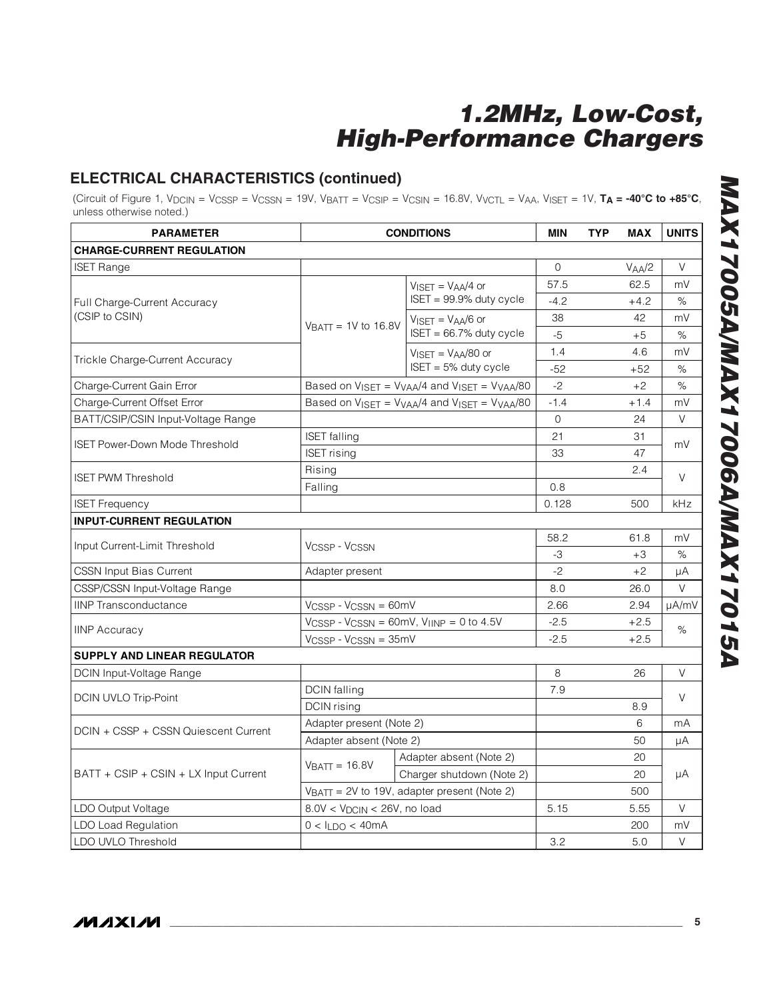## **ELECTRICAL CHARACTERISTICS (continued)**

(Circuit of Figure 1,  $V_{DCIN} = V_{CSSP} = V_{CSSN} = 19V$ ,  $V_{BATT} = V_{CSIP} = V_{CSIN} = 16.8V$ ,  $V_{VCTL} = V_{AA}$ ,  $V_{ISET} = 1V$ ,  $T_A = -40^{\circ}C$  to  $+85^{\circ}C$ , unless otherwise noted.)

| <b>PARAMETER</b>                      | <b>CONDITIONS</b>                                                           |                                             | <b>MIN</b> | <b>TYP</b> | <b>MAX</b>         | <b>UNITS</b> |  |
|---------------------------------------|-----------------------------------------------------------------------------|---------------------------------------------|------------|------------|--------------------|--------------|--|
| <b>CHARGE-CURRENT REGULATION</b>      |                                                                             |                                             |            |            |                    |              |  |
| <b>ISET Range</b>                     |                                                                             |                                             | $\Omega$   |            | V <sub>AA</sub> /2 | V            |  |
|                                       |                                                                             | $VISET = VAA/4$ or                          | 57.5       |            | 62.5               | mV           |  |
| Full Charge-Current Accuracy          |                                                                             | $ISET = 99.9\%$ duty cycle                  | $-4.2$     |            | $+4.2$             | %            |  |
| (CSIP to CSIN)                        |                                                                             | $VISET = VAA/6$ or                          | 38         |            | 42                 | mV           |  |
|                                       | $VBATT = 1V$ to 16.8V                                                       | $ISET = 66.7%$ duty cycle                   | $-5$       |            | $+5$               | %            |  |
|                                       |                                                                             | $V_{\text{ISFT}} = V_{\text{AA}}/80$ or     | 1.4        |            | 4.6                | mV           |  |
| Trickle Charge-Current Accuracy       |                                                                             | $ISET = 5%$ duty cycle                      | $-52$      |            | $+52$              | $\%$         |  |
| Charge-Current Gain Error             |                                                                             | Based on VISET = VVAA/4 and VISET = VVAA/80 | $-2$       |            | $+2$               | $\%$         |  |
| Charge-Current Offset Error           |                                                                             | Based on VISET = VVAA/4 and VISET = VVAA/80 | $-1.4$     |            | $+1.4$             | mV           |  |
| BATT/CSIP/CSIN Input-Voltage Range    |                                                                             |                                             | $\Omega$   |            | 24                 | $\vee$       |  |
| <b>ISET Power-Down Mode Threshold</b> | <b>ISET</b> falling                                                         |                                             | 21         |            | 31                 | mV           |  |
|                                       | <b>ISET</b> rising                                                          |                                             | 33         |            | 47                 |              |  |
| <b>ISET PWM Threshold</b>             | Rising                                                                      |                                             |            |            | 2.4                | $\vee$       |  |
|                                       | Falling                                                                     |                                             | 0.8        |            |                    |              |  |
| <b>ISET Frequency</b>                 |                                                                             |                                             | 0.128      |            | 500                | kHz          |  |
| <b>INPUT-CURRENT REGULATION</b>       |                                                                             |                                             |            |            |                    |              |  |
| Input Current-Limit Threshold         |                                                                             | VCSSP - VCSSN                               |            |            | 61.8               | mV           |  |
|                                       |                                                                             |                                             |            |            | $+3$               | %            |  |
| <b>CSSN Input Bias Current</b>        | Adapter present                                                             |                                             | $-2$       |            | $+2$               | μA           |  |
| CSSP/CSSN Input-Voltage Range         |                                                                             |                                             | 8.0        |            | 26.0               | $\vee$       |  |
| <b>IINP Transconductance</b>          | $V_{CSSP} - V_{CSSN} = 60mV$                                                |                                             | 2.66       |            | 2.94               | µA/mV        |  |
| <b>IINP Accuracy</b>                  | $V_{\text{CSSP}}$ - $V_{\text{CSSN}}$ = 60mV, $V_{\text{IINP}}$ = 0 to 4.5V |                                             | $-2.5$     |            | $+2.5$             | $\%$         |  |
|                                       |                                                                             | VCSSP - VCSSN = 35mV                        |            |            | $+2.5$             |              |  |
| <b>SUPPLY AND LINEAR REGULATOR</b>    |                                                                             |                                             |            |            |                    |              |  |
| DCIN Input-Voltage Range              |                                                                             |                                             | 8          |            | 26                 | V            |  |
| DCIN UVLO Trip-Point                  | <b>DCIN</b> falling                                                         |                                             | 7.9        |            |                    | V            |  |
|                                       | <b>DCIN</b> rising                                                          |                                             |            |            | 8.9                |              |  |
| DCIN + CSSP + CSSN Quiescent Current  | Adapter present (Note 2)                                                    |                                             |            |            | 6                  | mA           |  |
|                                       | Adapter absent (Note 2)                                                     |                                             |            |            | 50                 | μA           |  |
|                                       | $VBATT = 16.8V$                                                             | Adapter absent (Note 2)                     |            |            | 20                 |              |  |
| BATT + CSIP + CSIN + LX Input Current |                                                                             | Charger shutdown (Note 2)                   |            |            | 20                 | μA           |  |
|                                       | $V_{\text{BAT}} = 2V$ to 19V, adapter present (Note 2)                      |                                             |            |            | 500                |              |  |
| LDO Output Voltage                    | $8.0V < VDCIN < 26V$ , no load                                              |                                             | 5.15       |            | 5.55               | V            |  |
| <b>LDO Load Regulation</b>            | $0 < I_{LDO} < 40mA$                                                        |                                             |            |            | 200                | mV           |  |
| LDO UVLO Threshold                    |                                                                             |                                             | 3.2        |            | 5.0                | V            |  |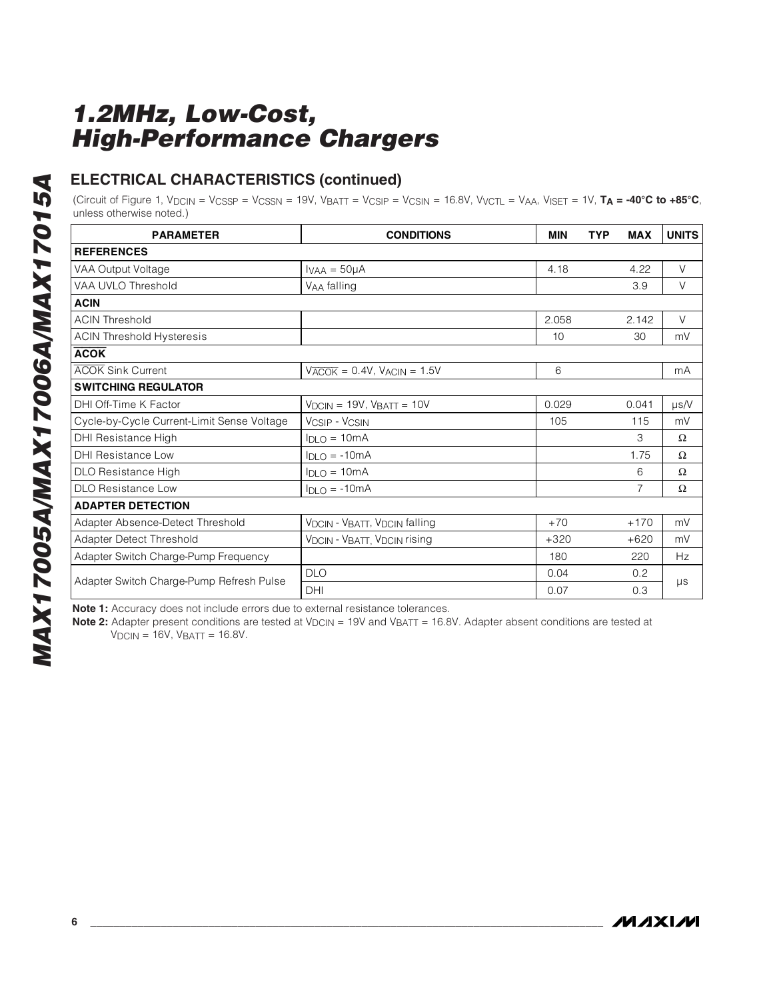### **ELECTRICAL CHARACTERISTICS (continued)**

(Circuit of Figure 1, VDCIN = VCSSP = VCSSN = 19V, VBATT = VCSIP = VCSIN = 16.8V, VVCTL = VAA, VISET = 1V, **TA = -40°C to +85°C**, unless otherwise noted.)

| <b>PARAMETER</b>                           | <b>CONDITIONS</b>                                          | <b>MIN</b> | <b>TYP</b><br><b>MAX</b> | <b>UNITS</b> |
|--------------------------------------------|------------------------------------------------------------|------------|--------------------------|--------------|
|                                            |                                                            |            |                          |              |
| <b>REFERENCES</b>                          |                                                            |            |                          |              |
| VAA Output Voltage                         | $I_{VAA} = 50\mu A$                                        | 4.18       | 4.22                     | $\vee$       |
| VAA UVLO Threshold                         | VAA falling                                                |            | 3.9                      | V            |
| <b>ACIN</b>                                |                                                            |            |                          |              |
| <b>ACIN Threshold</b>                      |                                                            | 2.058      | 2.142                    | $\vee$       |
| <b>ACIN Threshold Hysteresis</b>           |                                                            | 10         | 30                       | mV           |
| <b>ACOK</b>                                |                                                            |            |                          |              |
| <b>ACOK Sink Current</b>                   | $V_{\overline{ACOK}}$ = 0.4V, $V_{\overline{ACIN}}$ = 1.5V | 6          |                          | mA           |
| <b>SWITCHING REGULATOR</b>                 |                                                            |            |                          |              |
| DHI Off-Time K Factor                      | $VDCIN = 19V$ , $VBAT = 10V$                               | 0.029      | 0.041                    | $\mu$ s/V    |
| Cycle-by-Cycle Current-Limit Sense Voltage | <b>VCSIP - VCSIN</b>                                       | 105        | 115                      | mV           |
| DHI Resistance High                        | $I_{DLO} = 10mA$                                           |            | 3                        | Ω            |
| <b>DHI Resistance Low</b>                  | $I_{DLO} = -10mA$                                          |            | 1.75                     | Ω            |
| DLO Resistance High                        | $I_{DLO} = 10mA$                                           |            | 6                        | Ω            |
| <b>DLO Resistance Low</b>                  | $I_{DLO} = -10mA$                                          |            | 7                        | Ω            |
| <b>ADAPTER DETECTION</b>                   |                                                            |            |                          |              |
| Adapter Absence-Detect Threshold           | VDCIN - VBATT, VDCIN falling                               | $+70$      | $+170$                   | mV           |
| Adapter Detect Threshold                   | <b>VDCIN - VBATT, VDCIN rising</b>                         | $+320$     | $+620$                   | mV           |
| Adapter Switch Charge-Pump Frequency       |                                                            | 180        | 220                      | Hz           |
|                                            | <b>DLO</b>                                                 | 0.04       | 0.2                      |              |
| Adapter Switch Charge-Pump Refresh Pulse   | DHI                                                        | 0.07       | 0.3                      | $\mu s$      |

**Note 1:** Accuracy does not include errors due to external resistance tolerances.

**Note 2:** Adapter present conditions are tested at V<sub>DCIN</sub> = 19V and V<sub>BATT</sub> = 16.8V. Adapter absent conditions are tested at  $VDCIN = 16V$ ,  $VBAT = 16.8V$ .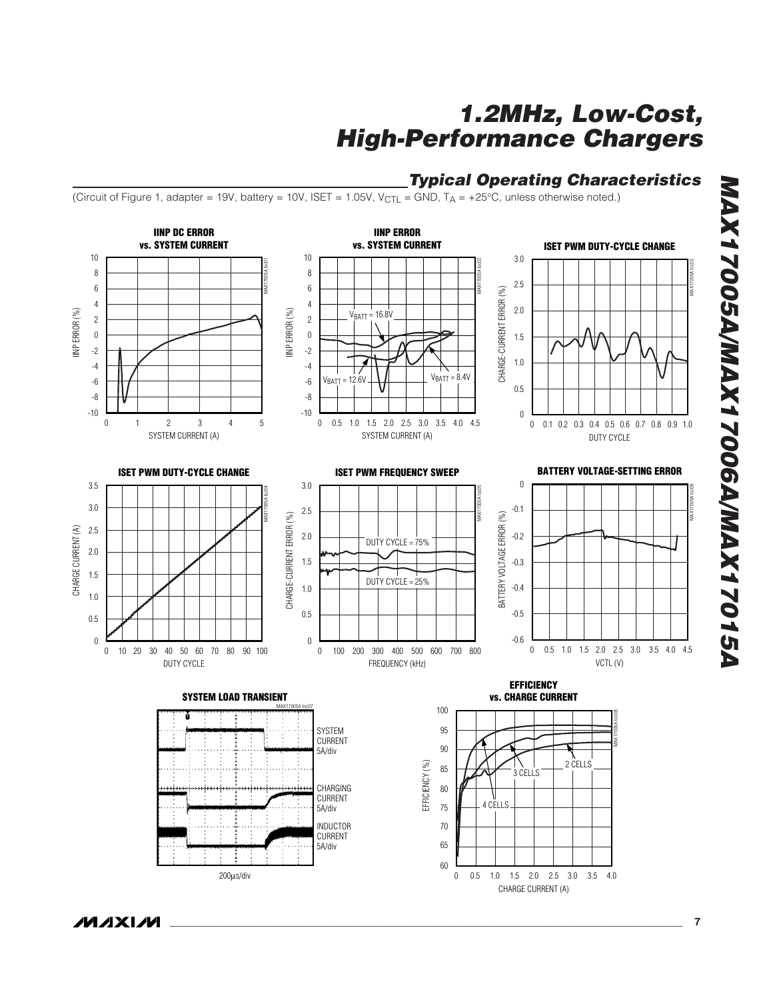### **Typical Operating Characteristics**

(Circuit of Figure 1, adapter = 19V, battery = 10V, ISET = 1.05V, V<sub>CTI</sub> = GND, T<sub>A</sub> = +25°C, unless otherwise noted.)



**MAX17005A/MAX17006A/MAX17015A MAX17005A/MAX17006A/MAX17015A**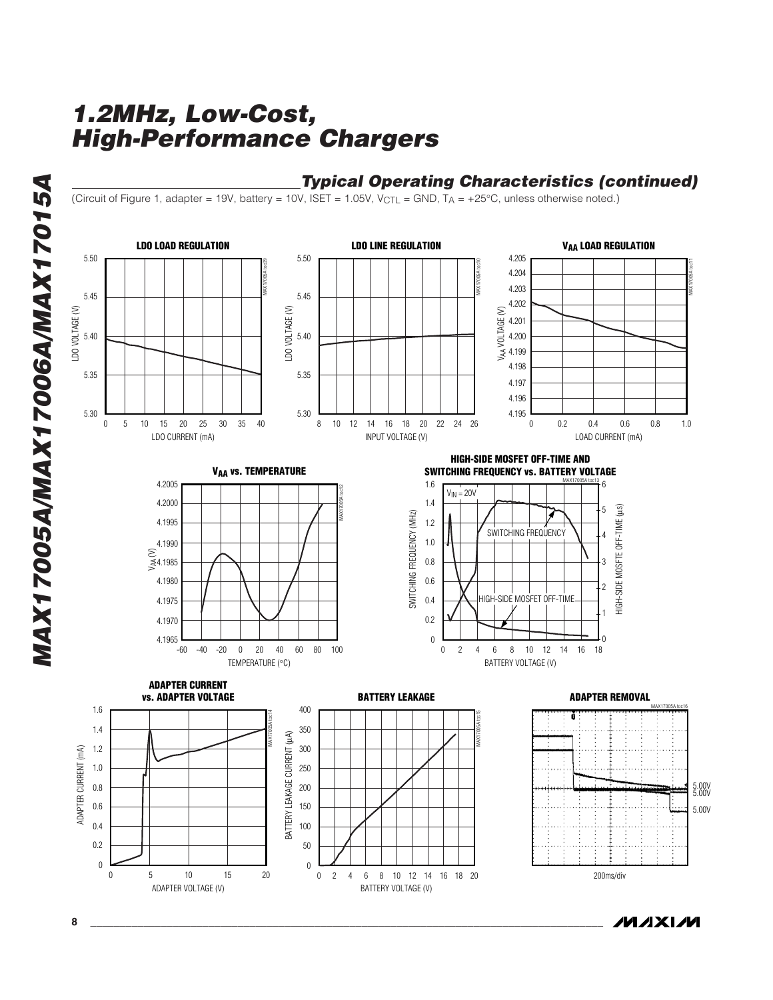## **Typical Operating Characteristics (continued)**

(Circuit of Figure 1, adapter = 19V, battery = 10V, ISET = 1.05V, V<sub>CTL</sub> = GND, T<sub>A</sub> = +25°C, unless otherwise noted.)



**MAXIM**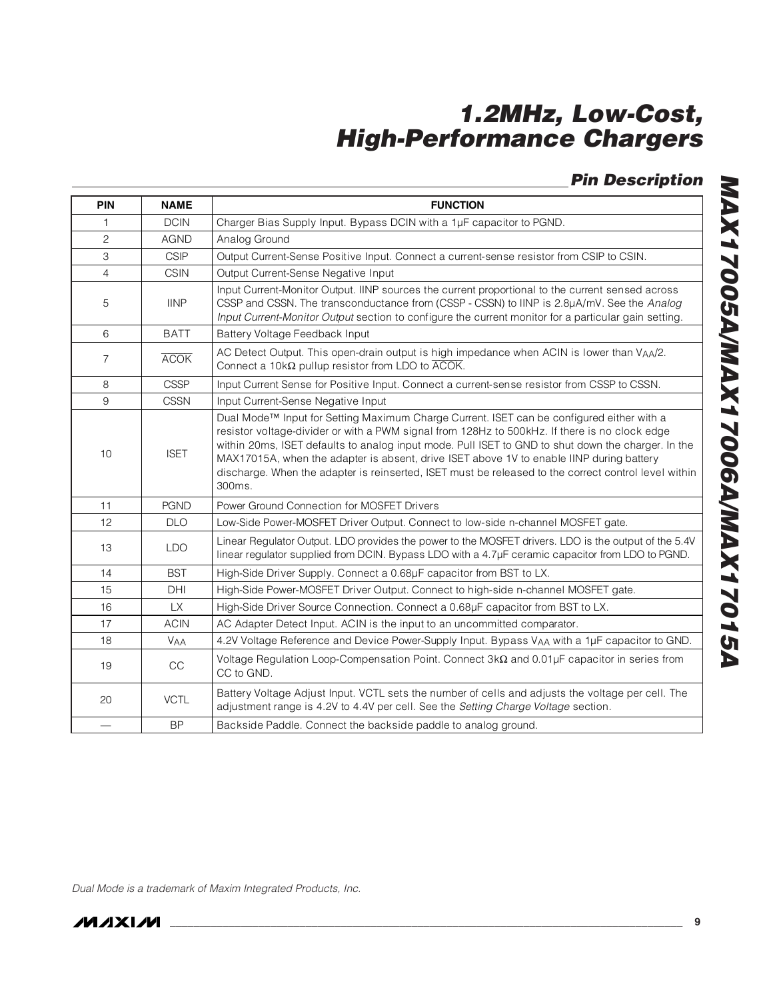**Pin Description**

| <b>PIN</b>     | <b>NAME</b>       | <b>FUNCTION</b>                                                                                                                                                                                                                                                                                                                                                                                                                                                                                                |
|----------------|-------------------|----------------------------------------------------------------------------------------------------------------------------------------------------------------------------------------------------------------------------------------------------------------------------------------------------------------------------------------------------------------------------------------------------------------------------------------------------------------------------------------------------------------|
| 1              | <b>DCIN</b>       | Charger Bias Supply Input. Bypass DCIN with a 1µF capacitor to PGND.                                                                                                                                                                                                                                                                                                                                                                                                                                           |
| $\mathbf{2}$   | <b>AGND</b>       | Analog Ground                                                                                                                                                                                                                                                                                                                                                                                                                                                                                                  |
| 3              | <b>CSIP</b>       | Output Current-Sense Positive Input. Connect a current-sense resistor from CSIP to CSIN.                                                                                                                                                                                                                                                                                                                                                                                                                       |
| $\overline{4}$ | <b>CSIN</b>       | Output Current-Sense Negative Input                                                                                                                                                                                                                                                                                                                                                                                                                                                                            |
| 5              | <b>IINP</b>       | Input Current-Monitor Output. IINP sources the current proportional to the current sensed across<br>CSSP and CSSN. The transconductance from (CSSP - CSSN) to IINP is 2.8µA/mV. See the Analog<br>Input Current-Monitor Output section to configure the current monitor for a particular gain setting.                                                                                                                                                                                                         |
| 6              | <b>BATT</b>       | Battery Voltage Feedback Input                                                                                                                                                                                                                                                                                                                                                                                                                                                                                 |
| $\overline{7}$ | <b>ACOK</b>       | AC Detect Output. This open-drain output is high impedance when ACIN is lower than VAA/2.<br>Connect a 10k $\Omega$ pullup resistor from LDO to $\overline{ACOK}$ .                                                                                                                                                                                                                                                                                                                                            |
| 8              | <b>CSSP</b>       | Input Current Sense for Positive Input. Connect a current-sense resistor from CSSP to CSSN.                                                                                                                                                                                                                                                                                                                                                                                                                    |
| 9              | <b>CSSN</b>       | Input Current-Sense Negative Input                                                                                                                                                                                                                                                                                                                                                                                                                                                                             |
| 10             | <b>ISET</b>       | Dual Mode™ Input for Setting Maximum Charge Current. ISET can be configured either with a<br>resistor voltage-divider or with a PWM signal from 128Hz to 500kHz. If there is no clock edge<br>within 20ms, ISET defaults to analog input mode. Pull ISET to GND to shut down the charger. In the<br>MAX17015A, when the adapter is absent, drive ISET above 1V to enable IINP during battery<br>discharge. When the adapter is reinserted, ISET must be released to the correct control level within<br>300ms. |
| 11             | <b>PGND</b>       | Power Ground Connection for MOSFET Drivers                                                                                                                                                                                                                                                                                                                                                                                                                                                                     |
| 12             | <b>DLO</b>        | Low-Side Power-MOSFET Driver Output. Connect to low-side n-channel MOSFET gate.                                                                                                                                                                                                                                                                                                                                                                                                                                |
| 13             | <b>LDO</b>        | Linear Regulator Output. LDO provides the power to the MOSFET drivers. LDO is the output of the 5.4V<br>linear regulator supplied from DCIN. Bypass LDO with a 4.7µF ceramic capacitor from LDO to PGND.                                                                                                                                                                                                                                                                                                       |
| 14             | <b>BST</b>        | High-Side Driver Supply. Connect a 0.68µF capacitor from BST to LX.                                                                                                                                                                                                                                                                                                                                                                                                                                            |
| 15             | DHI               | High-Side Power-MOSFET Driver Output. Connect to high-side n-channel MOSFET gate.                                                                                                                                                                                                                                                                                                                                                                                                                              |
| 16             | <b>LX</b>         | High-Side Driver Source Connection. Connect a 0.68µF capacitor from BST to LX.                                                                                                                                                                                                                                                                                                                                                                                                                                 |
| 17             | <b>ACIN</b>       | AC Adapter Detect Input. ACIN is the input to an uncommitted comparator.                                                                                                                                                                                                                                                                                                                                                                                                                                       |
| 18             | <b>VAA</b>        | 4.2V Voltage Reference and Device Power-Supply Input. Bypass VAA with a 1µF capacitor to GND.                                                                                                                                                                                                                                                                                                                                                                                                                  |
| 19             | $\mathop{\rm CC}$ | Voltage Regulation Loop-Compensation Point. Connect $3k\Omega$ and 0.01µF capacitor in series from<br>CC to GND.                                                                                                                                                                                                                                                                                                                                                                                               |
| 20             | <b>VCTL</b>       | Battery Voltage Adjust Input. VCTL sets the number of cells and adjusts the voltage per cell. The<br>adjustment range is 4.2V to 4.4V per cell. See the Setting Charge Voltage section.                                                                                                                                                                                                                                                                                                                        |
|                | <b>BP</b>         | Backside Paddle. Connect the backside paddle to analog ground.                                                                                                                                                                                                                                                                                                                                                                                                                                                 |

Dual Mode is a trademark of Maxim Integrated Products, Inc.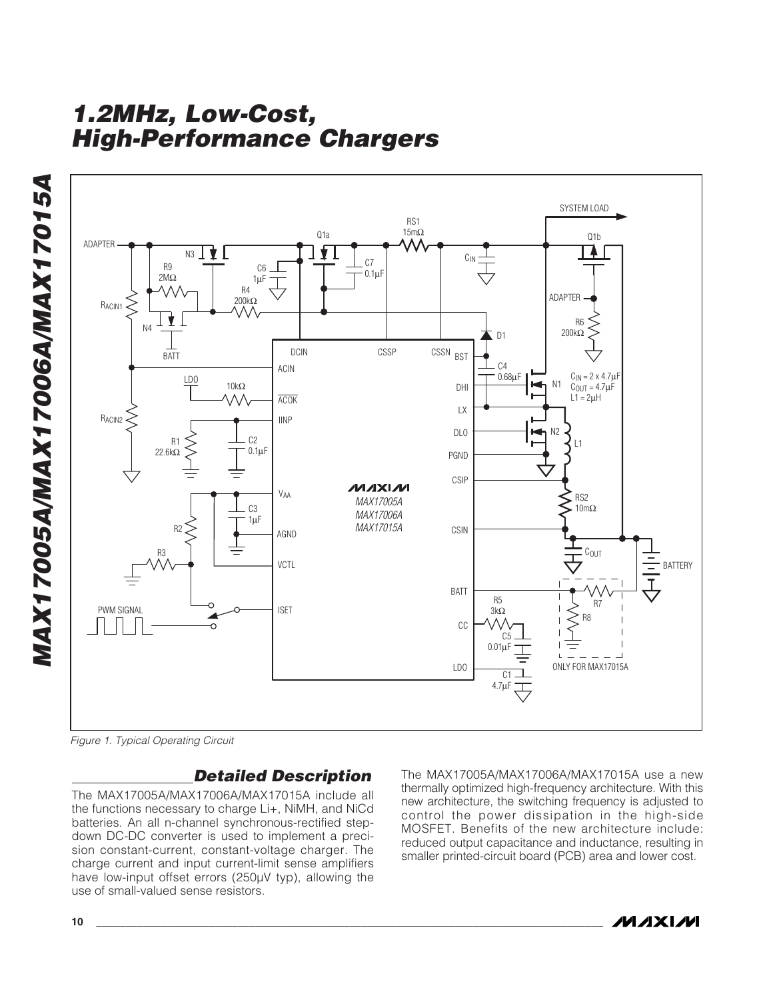



Figure 1. Typical Operating Circuit

## **Detailed Description**

The MAX17005A/MAX17006A/MAX17015A include all the functions necessary to charge Li+, NiMH, and NiCd batteries. An all n-channel synchronous-rectified stepdown DC-DC converter is used to implement a precision constant-current, constant-voltage charger. The charge current and input current-limit sense amplifiers have low-input offset errors (250μV typ), allowing the use of small-valued sense resistors.

The MAX17005A/MAX17006A/MAX17015A use a new thermally optimized high-frequency architecture. With this new architecture, the switching frequency is adjusted to control the power dissipation in the high-side MOSFET. Benefits of the new architecture include: reduced output capacitance and inductance, resulting in smaller printed-circuit board (PCB) area and lower cost.

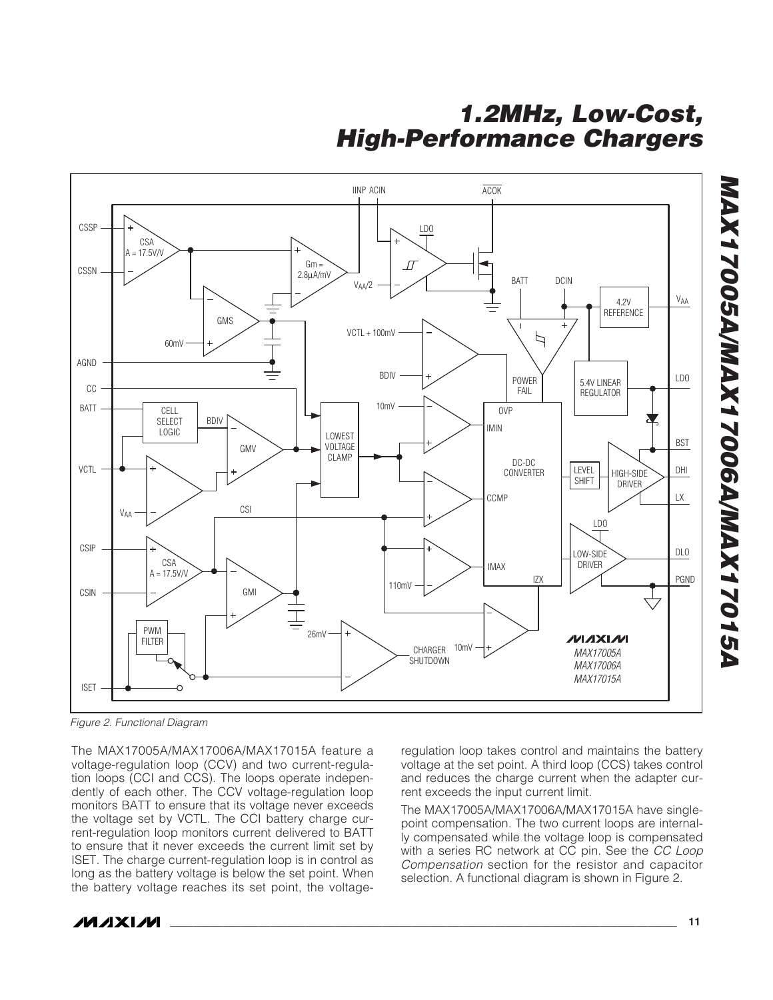

Figure 2. Functional Diagram

The MAX17005A/MAX17006A/MAX17015A feature a voltage-regulation loop (CCV) and two current-regulation loops (CCI and CCS). The loops operate independently of each other. The CCV voltage-regulation loop monitors BATT to ensure that its voltage never exceeds the voltage set by VCTL. The CCI battery charge current-regulation loop monitors current delivered to BATT to ensure that it never exceeds the current limit set by ISET. The charge current-regulation loop is in control as long as the battery voltage is below the set point. When the battery voltage reaches its set point, the voltage-

regulation loop takes control and maintains the battery voltage at the set point. A third loop (CCS) takes control and reduces the charge current when the adapter current exceeds the input current limit.

The MAX17005A/MAX17006A/MAX17015A have singlepoint compensation. The two current loops are internally compensated while the voltage loop is compensated with a series RC network at CC pin. See the CC Loop Compensation section for the resistor and capacitor selection. A functional diagram is shown in Figure 2.



**MAX17005A/MAX17006A/MAX17015A**

**NAX17005A/MAX17006A/MAX17015A**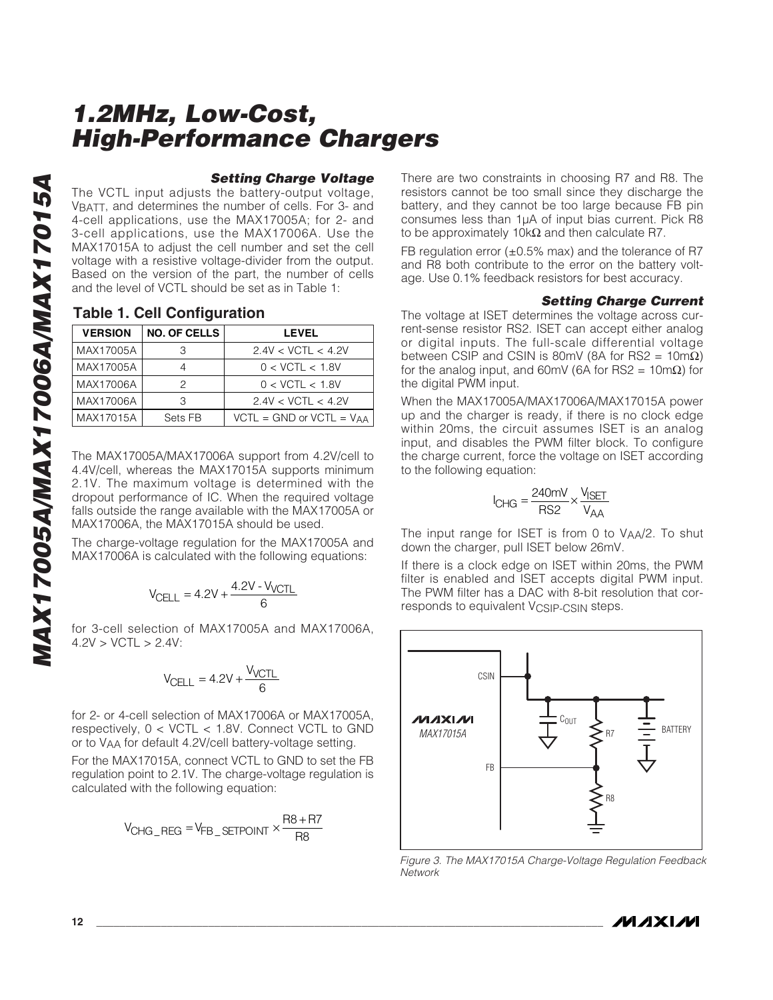### **Setting Charge Voltage**

The VCTL input adjusts the battery-output voltage, VBATT, and determines the number of cells. For 3- and 4-cell applications, use the MAX17005A; for 2- and 3-cell applications, use the MAX17006A. Use the MAX17015A to adjust the cell number and set the cell voltage with a resistive voltage-divider from the output. Based on the version of the part, the number of cells and the level of VCTL should be set as in Table 1:

### **Table 1. Cell Configuration**

| <b>VERSION</b> | <b>NO. OF CELLS</b> | <b>LEVEL</b>                    |
|----------------|---------------------|---------------------------------|
| MAX17005A      |                     | 2.4V < VCTL < 4.2V              |
| MAX17005A      |                     | 0 < VCTL < 1.8V                 |
| MAX17006A      |                     | 0 < VCTL < 1.8V                 |
| MAX17006A      |                     | 2.4V < VCTL < 4.2V              |
| MAX17015A      | Sets FB             | $VCTL = GND$ or $VCTL = V_{AA}$ |

The MAX17005A/MAX17006A support from 4.2V/cell to 4.4V/cell, whereas the MAX17015A supports minimum 2.1V. The maximum voltage is determined with the dropout performance of IC. When the required voltage falls outside the range available with the MAX17005A or MAX17006A, the MAX17015A should be used.

The charge-voltage regulation for the MAX17005A and MAX17006A is calculated with the following equations:

$$
V_{\text{CELL}} = 4.2V + \frac{4.2V - V_{\text{VCTL}}}{6}
$$

for 3-cell selection of MAX17005A and MAX17006A,  $4.2V > VCTL > 2.4V$ :

$$
V_{\text{CELL}} = 4.2V + \frac{V_{\text{VCTL}}}{6}
$$

for 2- or 4-cell selection of MAX17006A or MAX17005A, respectively, 0 < VCTL < 1.8V. Connect VCTL to GND or to VAA for default 4.2V/cell battery-voltage setting.

For the MAX17015A, connect VCTL to GND to set the FB regulation point to 2.1V. The charge-voltage regulation is calculated with the following equation:

$$
V_{CHG\_REG} = V_{FB\_SETPOINT} \times \frac{R8 + R7}{R8}
$$

There are two constraints in choosing R7 and R8. The resistors cannot be too small since they discharge the battery, and they cannot be too large because FB pin consumes less than 1μA of input bias current. Pick R8 to be approximately 10kΩ and then calculate R7.

FB regulation error  $(\pm 0.5\%$  max) and the tolerance of R7 and R8 both contribute to the error on the battery voltage. Use 0.1% feedback resistors for best accuracy.

#### **Setting Charge Current**

The voltage at ISET determines the voltage across current-sense resistor RS2. ISET can accept either analog or digital inputs. The full-scale differential voltage between CSIP and CSIN is 80mV (8A for RS2 =  $10 \text{m}\Omega$ ) for the analog input, and 60mV (6A for RS2 = 10mΩ) for the digital PWM input.

When the MAX17005A/MAX17006A/MAX17015A power up and the charger is ready, if there is no clock edge within 20ms, the circuit assumes ISET is an analog input, and disables the PWM filter block. To configure the charge current, force the voltage on ISET according to the following equation:

$$
I_{CHG} = \frac{240 \text{mV}}{\text{RS2}} \times \frac{V_{ISET}}{V_{AA}}
$$

The input range for ISET is from 0 to VAA/2. To shut down the charger, pull ISET below 26mV.

If there is a clock edge on ISET within 20ms, the PWM filter is enabled and ISET accepts digital PWM input. The PWM filter has a DAC with 8-bit resolution that corresponds to equivalent V<sub>CSIP-CSIN</sub> steps.



Figure 3. The MAX17015A Charge-Voltage Regulation Feedback **Network**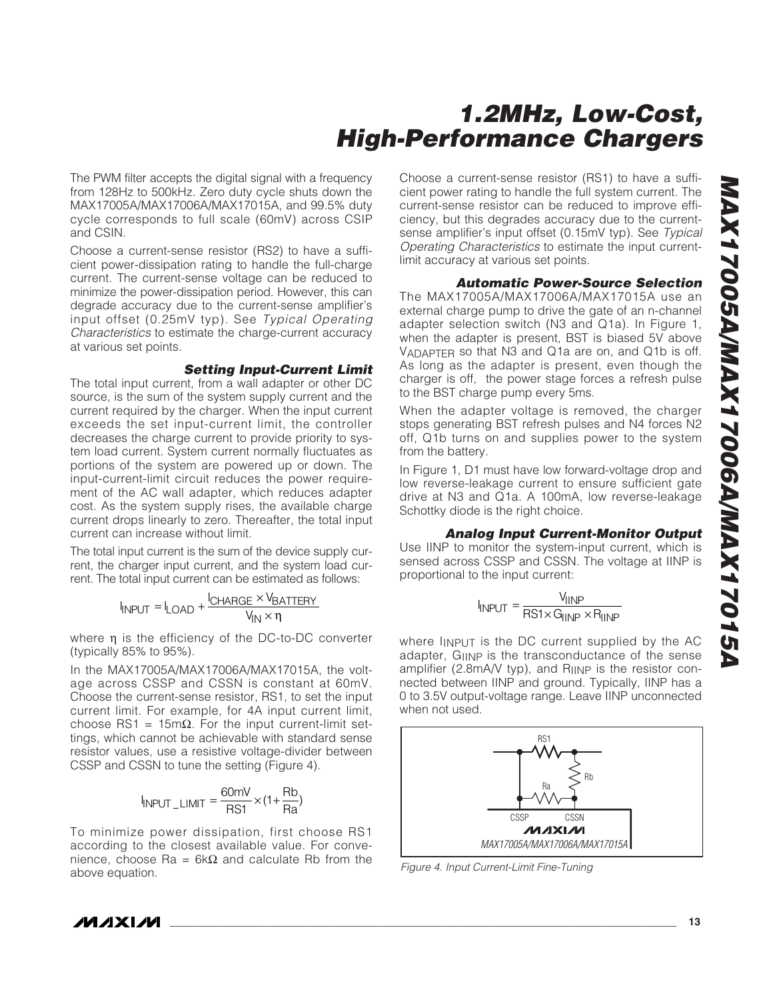The PWM filter accepts the digital signal with a frequency from 128Hz to 500kHz. Zero duty cycle shuts down the MAX17005A/MAX17006A/MAX17015A, and 99.5% duty cycle corresponds to full scale (60mV) across CSIP and CSIN.

Choose a current-sense resistor (RS2) to have a sufficient power-dissipation rating to handle the full-charge current. The current-sense voltage can be reduced to minimize the power-dissipation period. However, this can degrade accuracy due to the current-sense amplifier's input offset (0.25mV typ). See Typical Operating Characteristics to estimate the charge-current accuracy at various set points.

#### **Setting Input-Current Limit**

The total input current, from a wall adapter or other DC source, is the sum of the system supply current and the current required by the charger. When the input current exceeds the set input-current limit, the controller decreases the charge current to provide priority to system load current. System current normally fluctuates as portions of the system are powered up or down. The input-current-limit circuit reduces the power requirement of the AC wall adapter, which reduces adapter cost. As the system supply rises, the available charge current drops linearly to zero. Thereafter, the total input current can increase without limit.

The total input current is the sum of the device supply current, the charger input current, and the system load current. The total input current can be estimated as follows:

$$
I_{\text{INPUT}} = I_{\text{LOAD}} + \frac{I_{\text{CHARGE}} \times V_{\text{BATTERV}}}{V_{\text{IN}} \times \eta}
$$

where η is the efficiency of the DC-to-DC converter (typically 85% to 95%).

In the MAX17005A/MAX17006A/MAX17015A, the voltage across CSSP and CSSN is constant at 60mV. Choose the current-sense resistor, RS1, to set the input current limit. For example, for 4A input current limit, choose RS1 = 15mΩ. For the input current-limit settings, which cannot be achievable with standard sense resistor values, use a resistive voltage-divider between CSSP and CSSN to tune the setting (Figure 4).

$$
I_{\text{INPUT\_LIMIT}} = \frac{60 \text{mV}}{\text{RS1}} \times (1 + \frac{\text{Rb}}{\text{Ra}})
$$

To minimize power dissipation, first choose RS1 according to the closest available value. For convenience, choose Ra = 6kΩ and calculate Rb from the above equation.

Choose a current-sense resistor (RS1) to have a sufficient power rating to handle the full system current. The current-sense resistor can be reduced to improve efficiency, but this degrades accuracy due to the currentsense amplifier's input offset (0.15mV typ). See Typical Operating Characteristics to estimate the input currentlimit accuracy at various set points.

### **Automatic Power-Source Selection**

The MAX17005A/MAX17006A/MAX17015A use an external charge pump to drive the gate of an n-channel adapter selection switch (N3 and Q1a). In Figure 1, when the adapter is present, BST is biased 5V above VADAPTER so that N3 and Q1a are on, and Q1b is off. As long as the adapter is present, even though the charger is off, the power stage forces a refresh pulse to the BST charge pump every 5ms.

When the adapter voltage is removed, the charger stops generating BST refresh pulses and N4 forces N2 off, Q1b turns on and supplies power to the system from the battery.

In Figure 1, D1 must have low forward-voltage drop and low reverse-leakage current to ensure sufficient gate drive at N3 and Q1a. A 100mA, low reverse-leakage Schottky diode is the right choice.

### **Analog Input Current-Monitor Output**

Use IINP to monitor the system-input current, which is sensed across CSSP and CSSN. The voltage at IINP is proportional to the input current:

$$
I_{\text{INPUT}} = \frac{V_{\text{IINP}}}{\text{RS1} \times \text{G}_{\text{IINP}} \times \text{R}_{\text{IINP}}}
$$

where IINPUT is the DC current supplied by the AC adapter, GIINP is the transconductance of the sense amplifier (2.8mA/V typ), and RIINP is the resistor connected between IINP and ground. Typically, IINP has a 0 to 3.5V output-voltage range. Leave IINP unconnected when not used.



Figure 4. Input Current-Limit Fine-Tuning

/VI /I X I /VI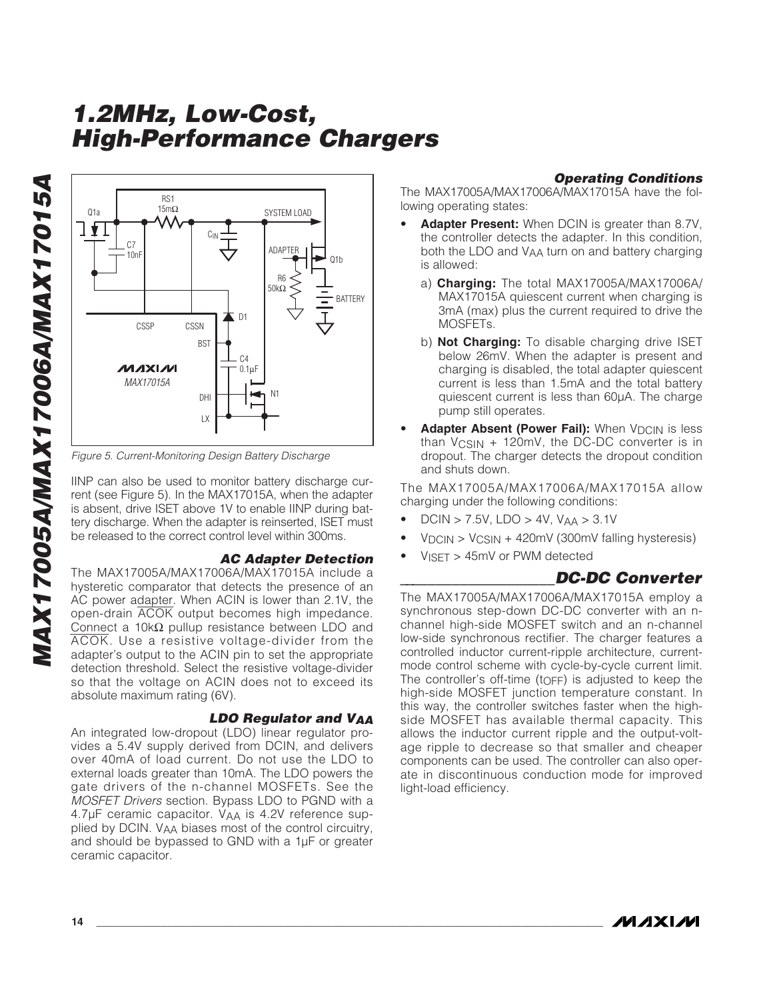

Figure 5. Current-Monitoring Design Battery Discharge

IINP can also be used to monitor battery discharge current (see Figure 5). In the MAX17015A, when the adapter is absent, drive ISET above 1V to enable IINP during battery discharge. When the adapter is reinserted, ISET must be released to the correct control level within 300ms.

### **AC Adapter Detection**

The MAX17005A/MAX17006A/MAX17015A include a hysteretic comparator that detects the presence of an AC power adapter. When ACIN is lower than 2.1V, the open-drain ACOK output becomes high impedance. Connect a 10k $\Omega$  pullup resistance between LDO and ACOK. Use a resistive voltage-divider from the adapter's output to the ACIN pin to set the appropriate detection threshold. Select the resistive voltage-divider so that the voltage on ACIN does not to exceed its absolute maximum rating (6V).

### **LDO Regulator and VAA**

An integrated low-dropout (LDO) linear regulator provides a 5.4V supply derived from DCIN, and delivers over 40mA of load current. Do not use the LDO to external loads greater than 10mA. The LDO powers the gate drivers of the n-channel MOSFETs. See the MOSFET Drivers section. Bypass LDO to PGND with a 4.7μF ceramic capacitor. VAA is 4.2V reference supplied by DCIN. VAA biases most of the control circuitry, and should be bypassed to GND with a 1μF or greater ceramic capacitor.

### **Operating Conditions**

The MAX17005A/MAX17006A/MAX17015A have the following operating states:

- **Adapter Present:** When DCIN is greater than 8.7V, the controller detects the adapter. In this condition, both the LDO and VAA turn on and battery charging is allowed:
	- a) **Charging:** The total MAX17005A/MAX17006A/ MAX17015A quiescent current when charging is 3mA (max) plus the current required to drive the MOSFETs.
	- b) **Not Charging:** To disable charging drive ISET below 26mV. When the adapter is present and charging is disabled, the total adapter quiescent current is less than 1.5mA and the total battery quiescent current is less than 60μA. The charge pump still operates.
- Adapter Absent (Power Fail): When V<sub>DCIN</sub> is less than VCSIN + 120mV, the DC-DC converter is in dropout. The charger detects the dropout condition and shuts down.

The MAX17005A/MAX17006A/MAX17015A allow charging under the following conditions:

- $DCIN > 7.5V$ ,  $LDO > 4V$ ,  $V_{AA} > 3.1V$
- $VDCIN > VCSIN + 420mV (300mV falling hysteresis)$
- VISET > 45mV or PWM detected

### **\_\_\_\_\_\_\_\_\_\_\_\_\_\_\_\_\_\_\_\_DC-DC Converter**

The MAX17005A/MAX17006A/MAX17015A employ a synchronous step-down DC-DC converter with an nchannel high-side MOSFET switch and an n-channel low-side synchronous rectifier. The charger features a controlled inductor current-ripple architecture, currentmode control scheme with cycle-by-cycle current limit. The controller's off-time (tOFF) is adjusted to keep the high-side MOSFET junction temperature constant. In this way, the controller switches faster when the highside MOSFET has available thermal capacity. This allows the inductor current ripple and the output-voltage ripple to decrease so that smaller and cheaper components can be used. The controller can also operate in discontinuous conduction mode for improved light-load efficiency.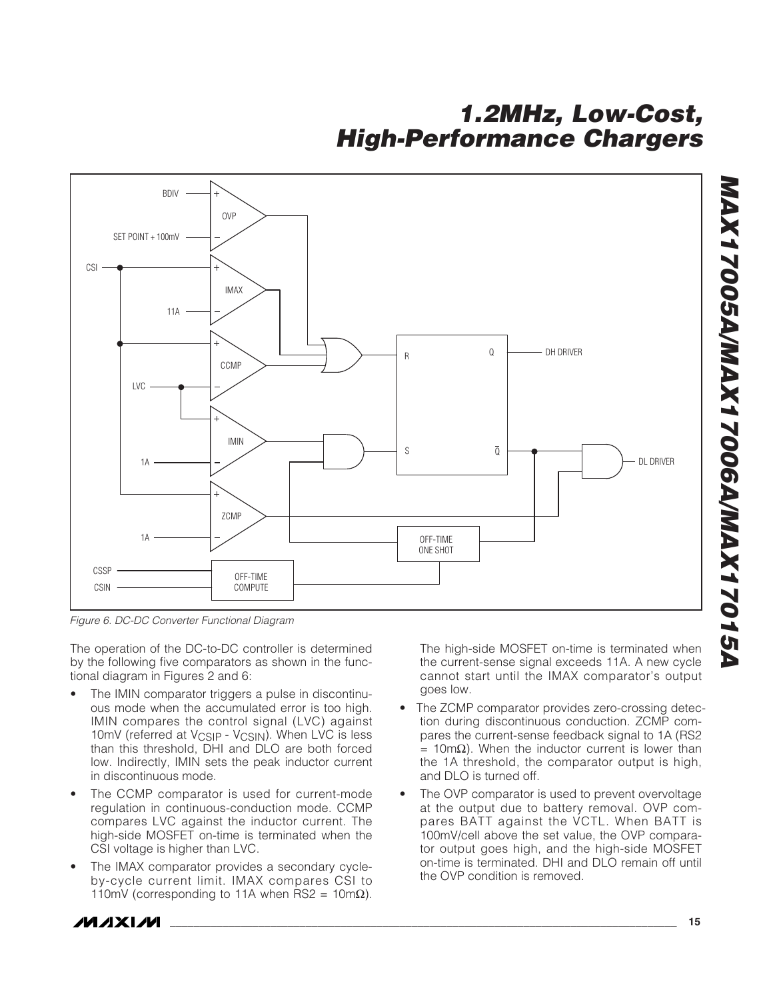

Figure 6. DC-DC Converter Functional Diagram

The operation of the DC-to-DC controller is determined by the following five comparators as shown in the functional diagram in Figures 2 and 6:

- The IMIN comparator triggers a pulse in discontinuous mode when the accumulated error is too high. IMIN compares the control signal (LVC) against 10mV (referred at V<sub>CSIP</sub> - V<sub>CSIN</sub>). When LVC is less than this threshold, DHI and DLO are both forced low. Indirectly, IMIN sets the peak inductor current in discontinuous mode.
- The CCMP comparator is used for current-mode regulation in continuous-conduction mode. CCMP compares LVC against the inductor current. The high-side MOSFET on-time is terminated when the CSI voltage is higher than LVC.
- The IMAX comparator provides a secondary cycleby-cycle current limit. IMAX compares CSI to 110mV (corresponding to 11A when RS2 = 10m $\Omega$ ).

The high-side MOSFET on-time is terminated when the current-sense signal exceeds 11A. A new cycle cannot start until the IMAX comparator's output goes low.

- The ZCMP comparator provides zero-crossing detection during discontinuous conduction. ZCMP compares the current-sense feedback signal to 1A (RS2  $= 10$ mΩ). When the inductor current is lower than the 1A threshold, the comparator output is high, and DLO is turned off.
- The OVP comparator is used to prevent overvoltage at the output due to battery removal. OVP compares BATT against the VCTL. When BATT is 100mV/cell above the set value, the OVP comparator output goes high, and the high-side MOSFET on-time is terminated. DHI and DLO remain off until the OVP condition is removed.



**MAX17005A/MAX17006A/MAX17015A**

**MAX17005A/MAX17006A/MAX17015A**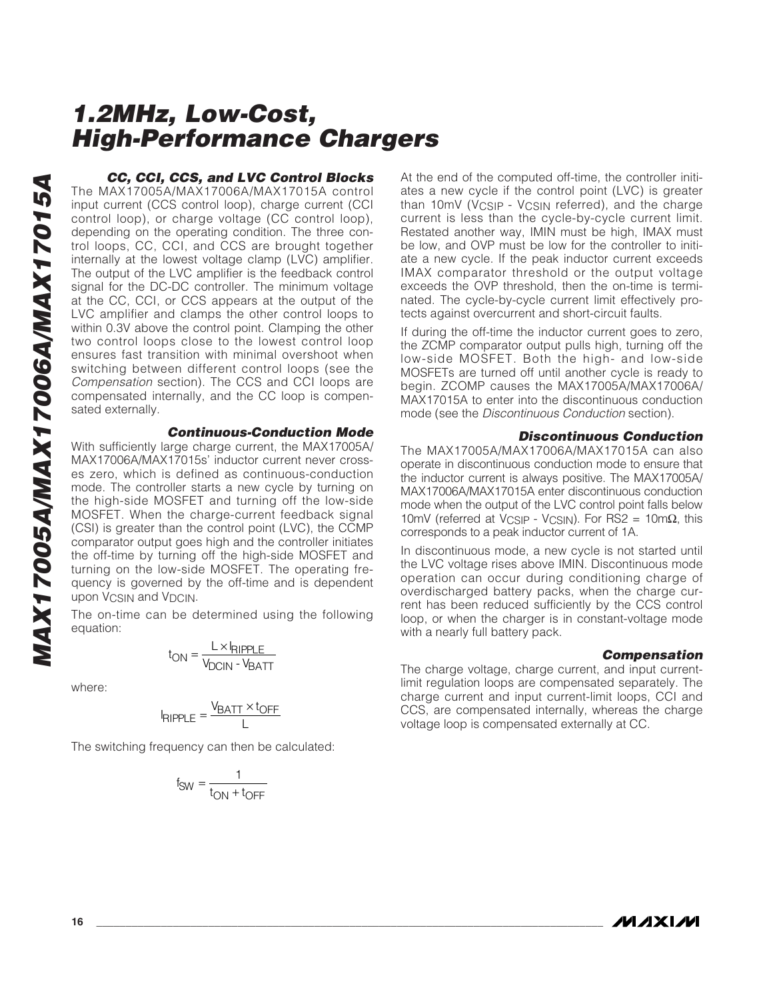**CC, CCI, CCS, and LVC Control Blocks** The MAX17005A/MAX17006A/MAX17015A control input current (CCS control loop), charge current (CCI control loop), or charge voltage (CC control loop), depending on the operating condition. The three control loops, CC, CCI, and CCS are brought together internally at the lowest voltage clamp (LVC) amplifier. The output of the LVC amplifier is the feedback control signal for the DC-DC controller. The minimum voltage at the CC, CCI, or CCS appears at the output of the LVC amplifier and clamps the other control loops to within 0.3V above the control point. Clamping the other two control loops close to the lowest control loop ensures fast transition with minimal overshoot when switching between different control loops (see the Compensation section). The CCS and CCI loops are compensated internally, and the CC loop is compensated externally.

### **Continuous-Conduction Mode**

With sufficiently large charge current, the MAX17005A/ MAX17006A/MAX17015s' inductor current never crosses zero, which is defined as continuous-conduction mode. The controller starts a new cycle by turning on the high-side MOSFET and turning off the low-side MOSFET. When the charge-current feedback signal (CSI) is greater than the control point (LVC), the CCMP comparator output goes high and the controller initiates the off-time by turning off the high-side MOSFET and turning on the low-side MOSFET. The operating frequency is governed by the off-time and is dependent upon V<sub>CSIN</sub> and V<sub>DCIN</sub>.

The on-time can be determined using the following equation:

$$
t_{ON} = \frac{L \times I_{RIPPLE}}{V_{DCIN} \cdot V_{BATT}}
$$

where:

$$
I_{RIPPLE} = \frac{V_{BATT} \times t_{OFF}}{L}
$$

The switching frequency can then be calculated:

$$
f_{SW} = \frac{1}{t_{ON} + t_{OFF}}
$$

At the end of the computed off-time, the controller initiates a new cycle if the control point (LVC) is greater than 10mV (V<sub>CSIP</sub> - V<sub>CSIN</sub> referred), and the charge current is less than the cycle-by-cycle current limit. Restated another way, IMIN must be high, IMAX must be low, and OVP must be low for the controller to initiate a new cycle. If the peak inductor current exceeds IMAX comparator threshold or the output voltage exceeds the OVP threshold, then the on-time is terminated. The cycle-by-cycle current limit effectively protects against overcurrent and short-circuit faults.

If during the off-time the inductor current goes to zero, the ZCMP comparator output pulls high, turning off the low-side MOSFET. Both the high- and low-side MOSFETs are turned off until another cycle is ready to begin. ZCOMP causes the MAX17005A/MAX17006A/ MAX17015A to enter into the discontinuous conduction mode (see the Discontinuous Conduction section).

#### **Discontinuous Conduction**

The MAX17005A/MAX17006A/MAX17015A can also operate in discontinuous conduction mode to ensure that the inductor current is always positive. The MAX17005A/ MAX17006A/MAX17015A enter discontinuous conduction mode when the output of the LVC control point falls below 10mV (referred at V<sub>CSIP</sub> - V<sub>CSIN</sub>). For RS2 = 10mΩ, this corresponds to a peak inductor current of 1A.

In discontinuous mode, a new cycle is not started until the LVC voltage rises above IMIN. Discontinuous mode operation can occur during conditioning charge of overdischarged battery packs, when the charge current has been reduced sufficiently by the CCS control loop, or when the charger is in constant-voltage mode with a nearly full battery pack.

### **Compensation**

The charge voltage, charge current, and input currentlimit regulation loops are compensated separately. The charge current and input current-limit loops, CCI and CCS, are compensated internally, whereas the charge voltage loop is compensated externally at CC.

**MAXIM**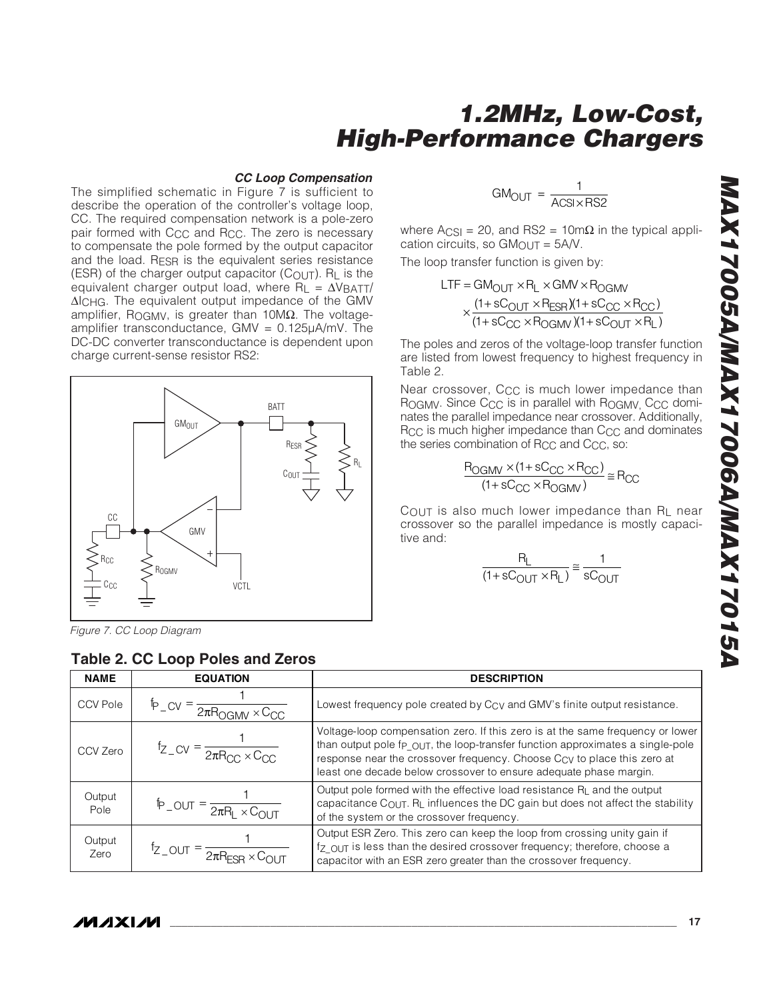#### **CC Loop Compensation**

The simplified schematic in Figure 7 is sufficient to describe the operation of the controller's voltage loop, CC. The required compensation network is a pole-zero pair formed with C<sub>CC</sub> and R<sub>CC</sub>. The zero is necessary to compensate the pole formed by the output capacitor and the load. RESR is the equivalent series resistance (ESR) of the charger output capacitor  $(C_{\OmegaUT})$ . R<sub>L</sub> is the equivalent charger output load, where  $R_L = \Delta V_{\text{BATT}}/R$ ΔICHG. The equivalent output impedance of the GMV amplifier, R<sub>OGMV</sub>, is greater than 10MΩ. The voltageamplifier transconductance,  $GMV = 0.125\mu A/mV$ . The DC-DC converter transconductance is dependent upon charge current-sense resistor RS2:



Figure 7. CC Loop Diagram

### **Table 2. CC Loop Poles and Zeros**

 $GM_{\text{OUT}} = \frac{1}{\Delta \text{CN}}$  $ACSI \times RS2$ 

where Acs<sub>I</sub> = 20, and RS2 = 10mΩ in the typical application circuits, so  $GM<sub>OUT</sub> =  $5A/V$ .$ 

The loop transfer function is given by:

$$
LTF = GM_{OUT} \times R_{L} \times GMV \times R_{OGMV}
$$
  
 
$$
\times \frac{(1 + sC_{OUT} \times R_{ESR})(1 + sC_{CC} \times R_{CC})}{(1 + sC_{CC} \times R_{OGMV})(1 + sC_{OUT} \times R_{L})}
$$

The poles and zeros of the voltage-loop transfer function are listed from lowest frequency to highest frequency in Table 2.

Near crossover, C<sub>CC</sub> is much lower impedance than ROGMV. Since C<sub>CC</sub> is in parallel with ROGMV, C<sub>CC</sub> dominates the parallel impedance near crossover. Additionally, Rcc is much higher impedance than C<sub>CC</sub> and dominates the series combination of R<sub>CC</sub> and C<sub>CC</sub>, so:

$$
\frac{R_{OGMV} \times (1 + sC_{CC} \times R_{CC})}{(1 + sC_{CC} \times R_{OGMV})} \cong R_{CC}
$$

COUT is also much lower impedance than RL near crossover so the parallel impedance is mostly capacitive and:

$$
\frac{R_L}{(1+sC_{\text{OUT}} \times R_L)} \approx \frac{1}{sC_{\text{OUT}}}
$$

| <b>NAME</b>     | <b>EQUATION</b>                                                                                 | <b>DESCRIPTION</b>                                                                                                                                                                                                                                                                                               |
|-----------------|-------------------------------------------------------------------------------------------------|------------------------------------------------------------------------------------------------------------------------------------------------------------------------------------------------------------------------------------------------------------------------------------------------------------------|
| <b>CCV Pole</b> | $\mathbb{P}_{\text{-CV}} = \frac{}{2\pi R_{\text{OGMV}} \times C_{\text{CC}}}$                  | Lowest frequency pole created by C <sub>CV</sub> and GMV's finite output resistance.                                                                                                                                                                                                                             |
| CCV Zero        | $f_{Z-CV} = \frac{1}{2\pi R_{CC} \times C_{CC}}$                                                | Voltage-loop compensation zero. If this zero is at the same frequency or lower<br>than output pole fp OUT, the loop-transfer function approximates a single-pole<br>response near the crossover frequency. Choose Ccy to place this zero at<br>least one decade below crossover to ensure adequate phase margin. |
| Output<br>Pole  | $\mathsf{p}_{\text{-OUT}} = \frac{1}{2\pi\mathsf{R}_{\text{I}} \times \mathsf{C}_{\text{OUT}}}$ | Output pole formed with the effective load resistance $R_{\parallel}$ and the output<br>capacitance COUT. RL influences the DC gain but does not affect the stability<br>of the system or the crossover frequency.                                                                                               |
| Output<br>Zero  | $f_{Z\_OUT} = \frac{1}{2\pi R_{FSR} \times C_{OUT}}$                                            | Output ESR Zero. This zero can keep the loop from crossing unity gain if<br>fz OUT is less than the desired crossover frequency; therefore, choose a<br>capacitor with an ESR zero greater than the crossover frequency.                                                                                         |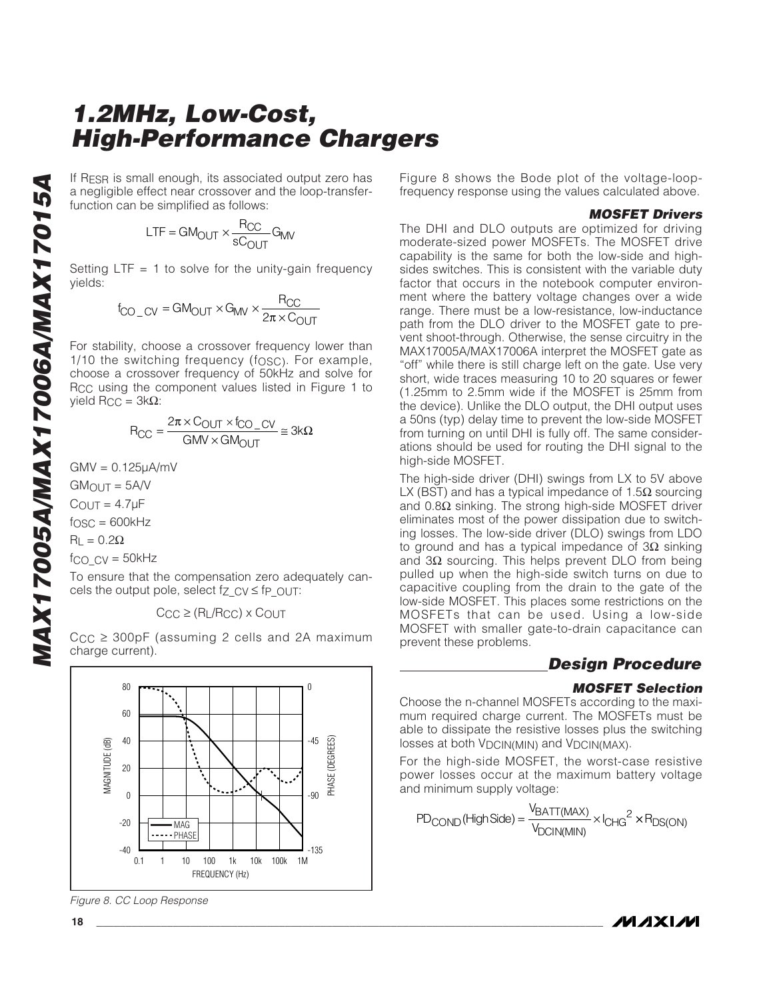If RESR is small enough, its associated output zero has a negligible effect near crossover and the loop-transferfunction can be simplified as follows:

$$
LTF = GM_{OUT} \times \frac{R_{CC}}{sC_{OUT}} G_{MV}
$$

Setting  $LTF = 1$  to solve for the unity-gain frequency yields:

$$
f_{\text{CO\_CV}} = \text{GM}_{\text{OUT}} \times \text{G}_{\text{MW}} \times \frac{\text{R}_{\text{CC}}}{2\pi \times \text{C}_{\text{OUT}}}
$$

For stability, choose a crossover frequency lower than 1/10 the switching frequency (fosc). For example, choose a crossover frequency of 50kHz and solve for RCC using the component values listed in Figure 1 to yield  $R_{CC} = 3kΩ$ :

$$
R_{CC} = \frac{2\pi \times C_{OUT} \times f_{CO\_CV}}{GMV \times GM_{OUT}} \cong 3k\Omega
$$

 $GMV = 0.125<sub>u</sub>A/mV$ 

 $GM$ <sub>OUT</sub> =  $5A/V$ 

 $C_{\text{OUT}} = 4.7 \mu F$ 

 $f<sub>OSC</sub> = 600kHz$ 

 $R<sub>L</sub> = 0.2Ω$ 

fco $cv = 50$ kHz

To ensure that the compensation zero adequately cancels the output pole, select  $f_Z$   $CV \leq fp$   $OUT$ :

 $C_{CC} \geq (R_L/R_{CC}) \times C_{OUT}$ 

 $C_{CC} \geq 300pF$  (assuming 2 cells and 2A maximum charge current).



Figure 8. CC Loop Response

Figure 8 shows the Bode plot of the voltage-loopfrequency response using the values calculated above.

#### **MOSFET Drivers**

The DHI and DLO outputs are optimized for driving moderate-sized power MOSFETs. The MOSFET drive capability is the same for both the low-side and highsides switches. This is consistent with the variable duty factor that occurs in the notebook computer environment where the battery voltage changes over a wide range. There must be a low-resistance, low-inductance path from the DLO driver to the MOSFET gate to prevent shoot-through. Otherwise, the sense circuitry in the MAX17005A/MAX17006A interpret the MOSFET gate as "off" while there is still charge left on the gate. Use very short, wide traces measuring 10 to 20 squares or fewer (1.25mm to 2.5mm wide if the MOSFET is 25mm from the device). Unlike the DLO output, the DHI output uses a 50ns (typ) delay time to prevent the low-side MOSFET from turning on until DHI is fully off. The same considerations should be used for routing the DHI signal to the high-side MOSFET.

The high-side driver (DHI) swings from LX to 5V above LX (BST) and has a typical impedance of 1.5 $\Omega$  sourcing and  $0.8Ω$  sinking. The strong high-side MOSFET driver eliminates most of the power dissipation due to switching losses. The low-side driver (DLO) swings from LDO to ground and has a typical impedance of  $3\Omega$  sinking and  $3Ω$  sourcing. This helps prevent DLO from being pulled up when the high-side switch turns on due to capacitive coupling from the drain to the gate of the low-side MOSFET. This places some restrictions on the MOSFETs that can be used. Using a low-side MOSFET with smaller gate-to-drain capacitance can prevent these problems.

### **Design Procedure**

### **MOSFET Selection**

Choose the n-channel MOSFETs according to the maximum required charge current. The MOSFETs must be able to dissipate the resistive losses plus the switching losses at both V<sub>DCIN(MIN)</sub> and V<sub>DCIN(MAX)</sub>.

For the high-side MOSFET, the worst-case resistive power losses occur at the maximum battery voltage and minimum supply voltage:

$$
PD_{\text{COND}}(\text{High Side}) = \frac{V_{\text{BATT}(MAX)}}{V_{\text{DCIN}(MIN)}} \times I_{\text{CHG}}^2 \times P_{\text{DS}(\text{ON})}
$$

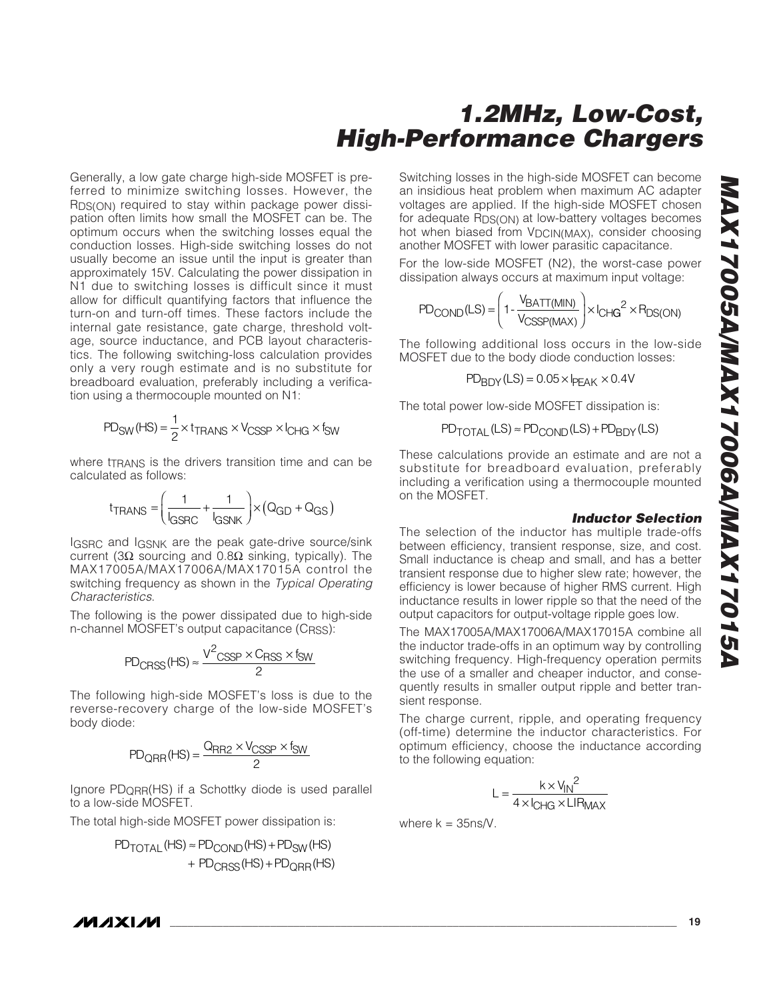Generally, a low gate charge high-side MOSFET is preferred to minimize switching losses. However, the RDS(ON) required to stay within package power dissipation often limits how small the MOSFET can be. The optimum occurs when the switching losses equal the conduction losses. High-side switching losses do not usually become an issue until the input is greater than approximately 15V. Calculating the power dissipation in N1 due to switching losses is difficult since it must allow for difficult quantifying factors that influence the turn-on and turn-off times. These factors include the internal gate resistance, gate charge, threshold voltage, source inductance, and PCB layout characteristics. The following switching-loss calculation provides only a very rough estimate and is no substitute for breadboard evaluation, preferably including a verification using a thermocouple mounted on N1:

$$
PD_{SW}(HS) = \frac{1}{2} \times t_{TRANS} \times V_{CSSP} \times I_{CHG} \times t_{SW}
$$

where traans is the drivers transition time and can be calculated as follows:

$$
t_{\text{TRANS}} = \left(\frac{1}{l_{\text{GSRC}}} + \frac{1}{l_{\text{GSNK}}} \right) \times (Q_{\text{GD}} + Q_{\text{GS}})
$$

IGSRC and IGSNK are the peak gate-drive source/sink current (3Ω sourcing and 0.8Ω sinking, typically). The MAX17005A/MAX17006A/MAX17015A control the switching frequency as shown in the Typical Operating Characteristics.

The following is the power dissipated due to high-side n-channel MOSFET's output capacitance (CRSS):

$$
PD_{CRSS}(HS) \approx \frac{V^2_{CSSP} \times C_{RSS} \times f_{SW}}{2}
$$

The following high-side MOSFET's loss is due to the reverse-recovery charge of the low-side MOSFET's body diode:

$$
PD_{QRR}(HS) = \frac{Q_{RR2} \times V_{CSSP} \times f_{SW}}{2}
$$

Ignore PDQRR(HS) if a Schottky diode is used parallel to a low-side MOSFET.

The total high-side MOSFET power dissipation is:

$$
\begin{aligned} \mathsf{PD_{TOTAL}(HS)} &\approx \mathsf{PD_{COND}}(\mathsf{HS}) + \mathsf{PD_{SW}}(\mathsf{HS}) \\ & + \mathsf{PD_{CRSS}}(\mathsf{HS}) + \mathsf{PD_{QRR}}(\mathsf{HS}) \end{aligned}
$$

Switching losses in the high-side MOSFET can become an insidious heat problem when maximum AC adapter voltages are applied. If the high-side MOSFET chosen for adequate RDS(ON) at low-battery voltages becomes hot when biased from V<sub>DCIN(MAX)</sub>, consider choosing another MOSFET with lower parasitic capacitance.

For the low-side MOSFET (N2), the worst-case power dissipation always occurs at maximum input voltage:

$$
PD_{COND}(LS) = \left(1 - \frac{V_{BATT(MIN)}}{V_{CSSP(MAX)}}\right) \times I_{CHG}^{2} \times P_{DS(ON)}
$$

The following additional loss occurs in the low-side MOSFET due to the body diode conduction losses:

$$
PD_{BDY}(LS) = 0.05 \times I_{PEAK} \times 0.4V
$$

The total power low-side MOSFET dissipation is:

 $PD$  TOTAL (LS)  $\approx$  PD<sub>COND</sub> (LS) + PD<sub>BDY</sub> (LS)

These calculations provide an estimate and are not a substitute for breadboard evaluation, preferably including a verification using a thermocouple mounted on the MOSFET.

#### **Inductor Selection**

The selection of the inductor has multiple trade-offs between efficiency, transient response, size, and cost. Small inductance is cheap and small, and has a better transient response due to higher slew rate; however, the efficiency is lower because of higher RMS current. High inductance results in lower ripple so that the need of the output capacitors for output-voltage ripple goes low.

The MAX17005A/MAX17006A/MAX17015A combine all the inductor trade-offs in an optimum way by controlling switching frequency. High-frequency operation permits the use of a smaller and cheaper inductor, and consequently results in smaller output ripple and better transient response.

The charge current, ripple, and operating frequency (off-time) determine the inductor characteristics. For optimum efficiency, choose the inductance according to the following equation:

$$
L = \frac{k \times V_{IN}^2}{4 \times I_{CHG} \times LIR_{MAX}}
$$

where  $k = 35$ ns/V.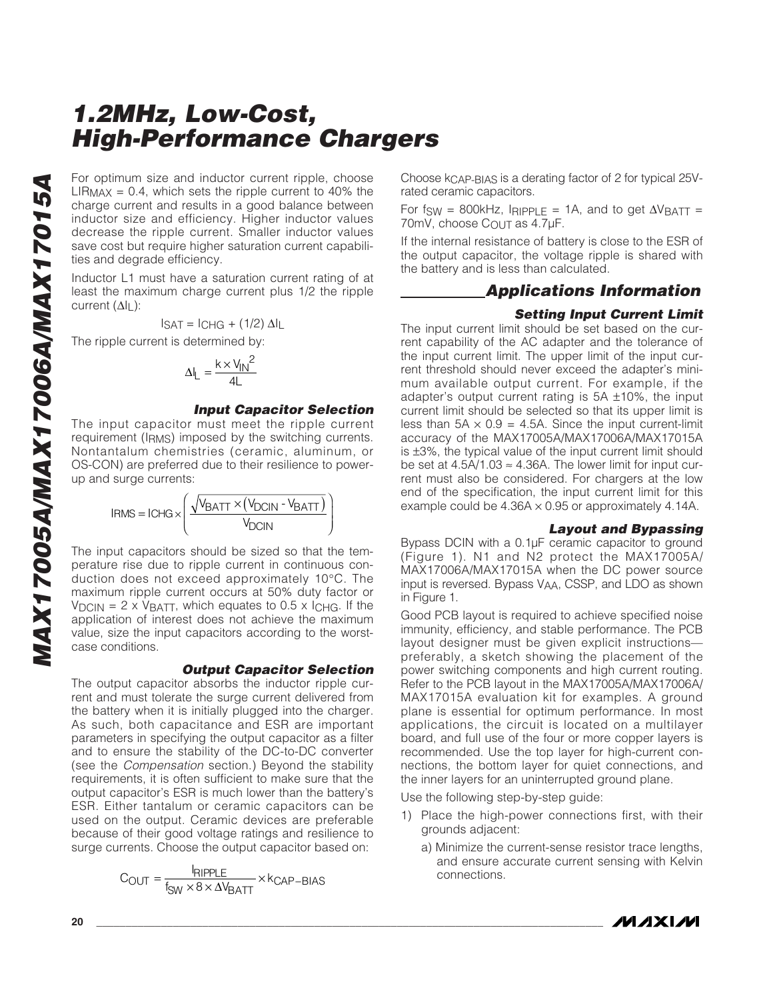For optimum size and inductor current ripple, choose  $LIR_{MAX} = 0.4$ , which sets the ripple current to 40% the charge current and results in a good balance between inductor size and efficiency. Higher inductor values decrease the ripple current. Smaller inductor values save cost but require higher saturation current capabilities and degrade efficiency.

Inductor L1 must have a saturation current rating of at least the maximum charge current plus 1/2 the ripple current  $(\Delta I_L)$ :

$$
I_{\text{SAT}} = I_{\text{CHG}} + (1/2) \Delta I_{\text{L}}
$$

The ripple current is determined by:

$$
\Delta I_{L} = \frac{k \times V_{IN}^{2}}{4L}
$$

### **Input Capacitor Selection**

The input capacitor must meet the ripple current requirement (IRMS) imposed by the switching currents. Nontantalum chemistries (ceramic, aluminum, or OS-CON) are preferred due to their resilience to powerup and surge currents:

$$
IRMS = ICHG \times \left(\frac{\sqrt{V_{BATT} \times (V_{DCIN} - V_{BATT})}}{V_{DCIN}}\right)
$$

The input capacitors should be sized so that the temperature rise due to ripple current in continuous conduction does not exceed approximately 10°C. The maximum ripple current occurs at 50% duty factor or  $V_{DCIN}$  = 2 x VBATT, which equates to 0.5 x I<sub>CHG</sub>. If the application of interest does not achieve the maximum value, size the input capacitors according to the worstcase conditions.

#### **Output Capacitor Selection**

The output capacitor absorbs the inductor ripple current and must tolerate the surge current delivered from the battery when it is initially plugged into the charger. As such, both capacitance and ESR are important parameters in specifying the output capacitor as a filter and to ensure the stability of the DC-to-DC converter (see the Compensation section.) Beyond the stability requirements, it is often sufficient to make sure that the output capacitor's ESR is much lower than the battery's ESR. Either tantalum or ceramic capacitors can be used on the output. Ceramic devices are preferable because of their good voltage ratings and resilience to surge currents. Choose the output capacitor based on:

$$
C_{OUT} = \frac{I_{RIPPLE}}{f_{SW} \times 8 \times \Delta V_{BAT}} \times k_{CAP-BIAS}
$$
 connections.

Choose kCAP-BIAS is a derating factor of 2 for typical 25Vrated ceramic capacitors.

For fsw = 800kHz, IRIPPLE = 1A, and to get  $\Delta V_{\text{BATT}}$  = 70mV, choose COUT as 4.7μF.

If the internal resistance of battery is close to the ESR of the output capacitor, the voltage ripple is shared with the battery and is less than calculated.

### **Applications Information**

#### **Setting Input Current Limit**

The input current limit should be set based on the current capability of the AC adapter and the tolerance of the input current limit. The upper limit of the input current threshold should never exceed the adapter's minimum available output current. For example, if the adapter's output current rating is  $5A \pm 10\%$ , the input current limit should be selected so that its upper limit is less than  $5A \times 0.9 = 4.5A$ . Since the input current-limit accuracy of the MAX17005A/MAX17006A/MAX17015A is ±3%, the typical value of the input current limit should be set at  $4.5A/1.03 \approx 4.36A$ . The lower limit for input current must also be considered. For chargers at the low end of the specification, the input current limit for this example could be  $4.36A \times 0.95$  or approximately 4.14A.

#### **Layout and Bypassing**

Bypass DCIN with a 0.1μF ceramic capacitor to ground (Figure 1). N1 and N2 protect the MAX17005A/ MAX17006A/MAX17015A when the DC power source input is reversed. Bypass VAA, CSSP, and LDO as shown in Figure 1.

Good PCB layout is required to achieve specified noise immunity, efficiency, and stable performance. The PCB layout designer must be given explicit instructions preferably, a sketch showing the placement of the power switching components and high current routing. Refer to the PCB layout in the MAX17005A/MAX17006A/ MAX17015A evaluation kit for examples. A ground plane is essential for optimum performance. In most applications, the circuit is located on a multilayer board, and full use of the four or more copper layers is recommended. Use the top layer for high-current connections, the bottom layer for quiet connections, and the inner layers for an uninterrupted ground plane.

Use the following step-by-step guide:

- 1) Place the high-power connections first, with their grounds adjacent:
	- a) Minimize the current-sense resistor trace lengths, and ensure accurate current sensing with Kelvin

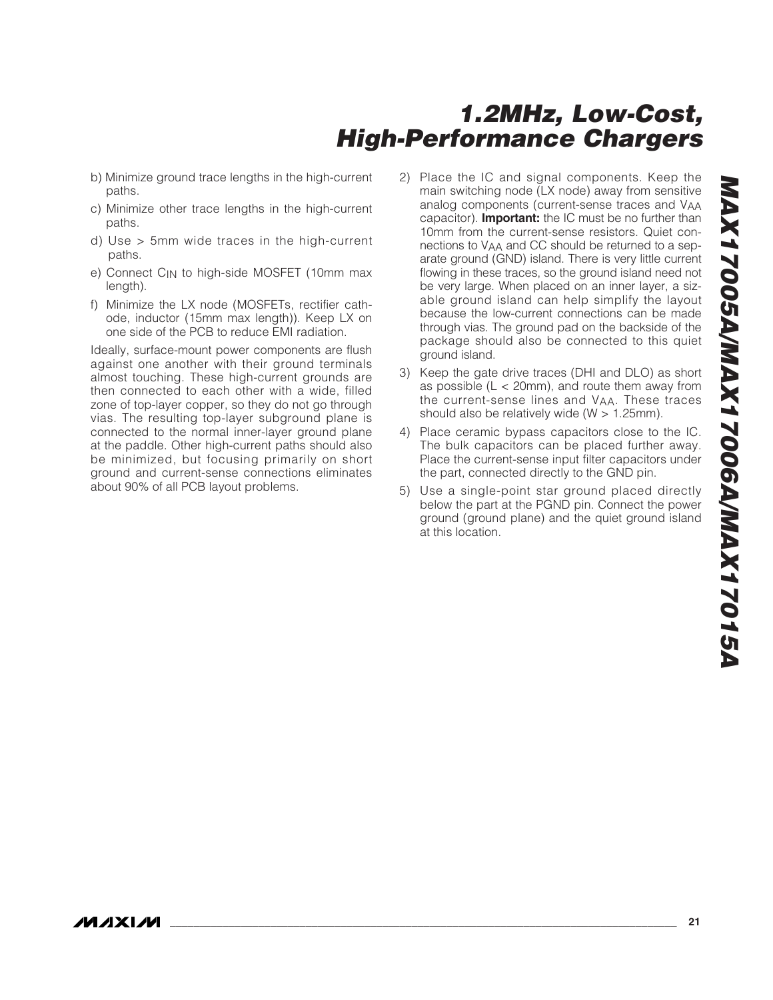- b) Minimize ground trace lengths in the high-current paths.
- c) Minimize other trace lengths in the high-current paths.
- d) Use > 5mm wide traces in the high-current paths.
- e) Connect C<sub>IN</sub> to high-side MOSFET (10mm max length).
- f) Minimize the LX node (MOSFETs, rectifier cathode, inductor (15mm max length)). Keep LX on one side of the PCB to reduce EMI radiation.

Ideally, surface-mount power components are flush against one another with their ground terminals almost touching. These high-current grounds are then connected to each other with a wide, filled zone of top-layer copper, so they do not go through vias. The resulting top-layer subground plane is connected to the normal inner-layer ground plane at the paddle. Other high-current paths should also be minimized, but focusing primarily on short ground and current-sense connections eliminates about 90% of all PCB layout problems.

- 2) Place the IC and signal components. Keep the main switching node (LX node) away from sensitive analog components (current-sense traces and VAA capacitor). **Important:** the IC must be no further than 10mm from the current-sense resistors. Quiet connections to VAA and CC should be returned to a separate ground (GND) island. There is very little current flowing in these traces, so the ground island need not be very large. When placed on an inner layer, a sizable ground island can help simplify the layout because the low-current connections can be made through vias. The ground pad on the backside of the package should also be connected to this quiet ground island.
- 3) Keep the gate drive traces (DHI and DLO) as short as possible  $(L < 20$ mm), and route them away from the current-sense lines and VAA. These traces should also be relatively wide (W > 1.25mm).
- 4) Place ceramic bypass capacitors close to the IC. The bulk capacitors can be placed further away. Place the current-sense input filter capacitors under the part, connected directly to the GND pin.
- 5) Use a single-point star ground placed directly below the part at the PGND pin. Connect the power ground (ground plane) and the quiet ground island at this location.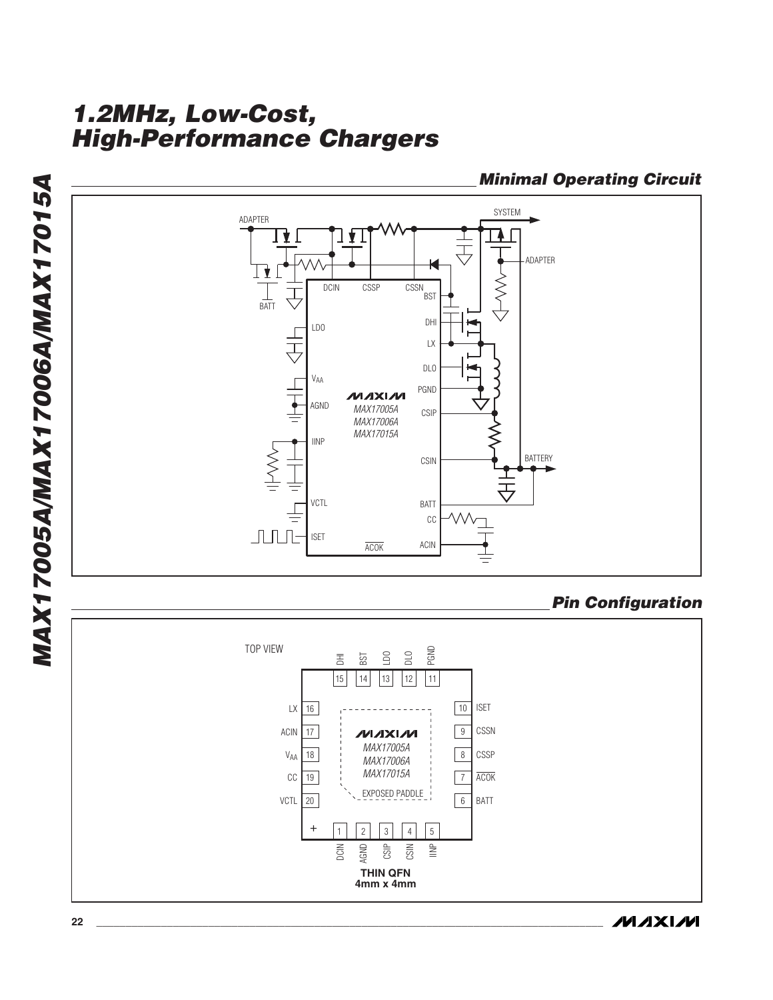

**4mm x 4mm**

**Minimal Operating Circuit**